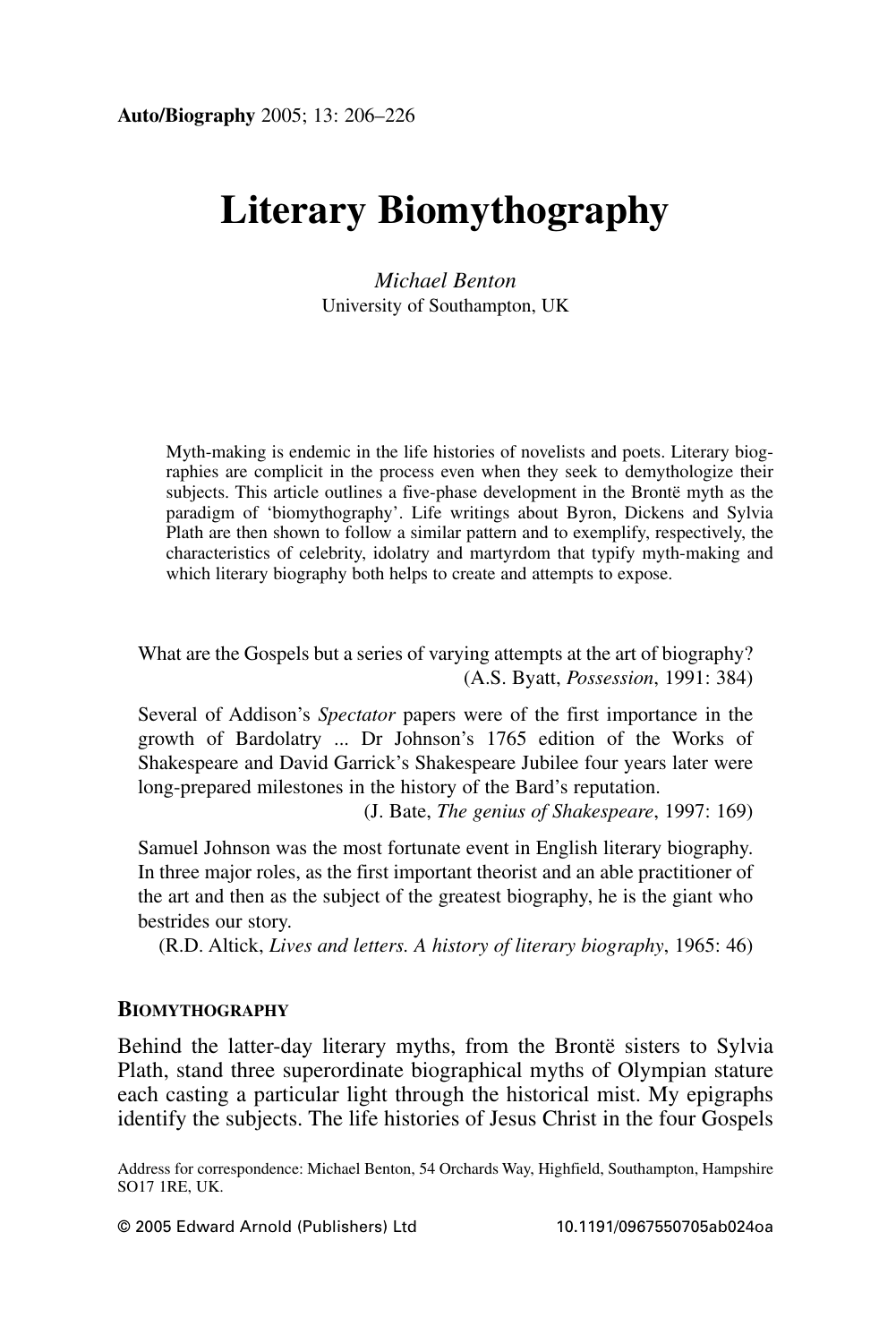# **Literary Biomythography**

#### Michael Renton University of Southampton, UK

Myth-making is endemic in the life histories of novelists and poets. Literary biographies are complicit in the process even when they seek to demythologize their subjects. This article outlines a five-phase development in the Brontë myth as the paradigm of 'biomythography'. Life writings about Byron, Dickens and Sylvia Plath are then shown to follow a similar pattern and to exemplify, respectively, the characteristics of celebrity, idolatry and martyrdom that typify myth-making and which literary biography both helps to create and attempts to expose.

What are the Gospels but a series of varying attempts at the art of biography? (A.S. Byatt, Possession, 1991: 384)

Several of Addison's *Spectator* papers were of the first importance in the growth of Bardolatry ... Dr Johnson's 1765 edition of the Works of Shakespeare and David Garrick's Shakespeare Jubilee four years later were long-prepared milestones in the history of the Bard's reputation.

(J. Bate, *The genius of Shakespeare*, 1997: 169)

Samuel Johnson was the most fortunate event in English literary biography. In three major roles, as the first important theorist and an able practitioner of the art and then as the subject of the greatest biography, he is the giant who bestrides our story.

(R.D. Altick, Lives and letters. A history of literary biography, 1965: 46)

#### **BIOMYTHOGRAPHY**

Behind the latter-day literary myths, from the Brontë sisters to Sylvia Plath, stand three superordinate biographical myths of Olympian stature each casting a particular light through the historical mist. My epigraphs identify the subjects. The life histories of Jesus Christ in the four Gospels

Address for correspondence: Michael Benton, 54 Orchards Way, Highfield, Southampton, Hampshire SO17 1RE, UK.

© 2005 Edward Arnold (Publishers) Ltd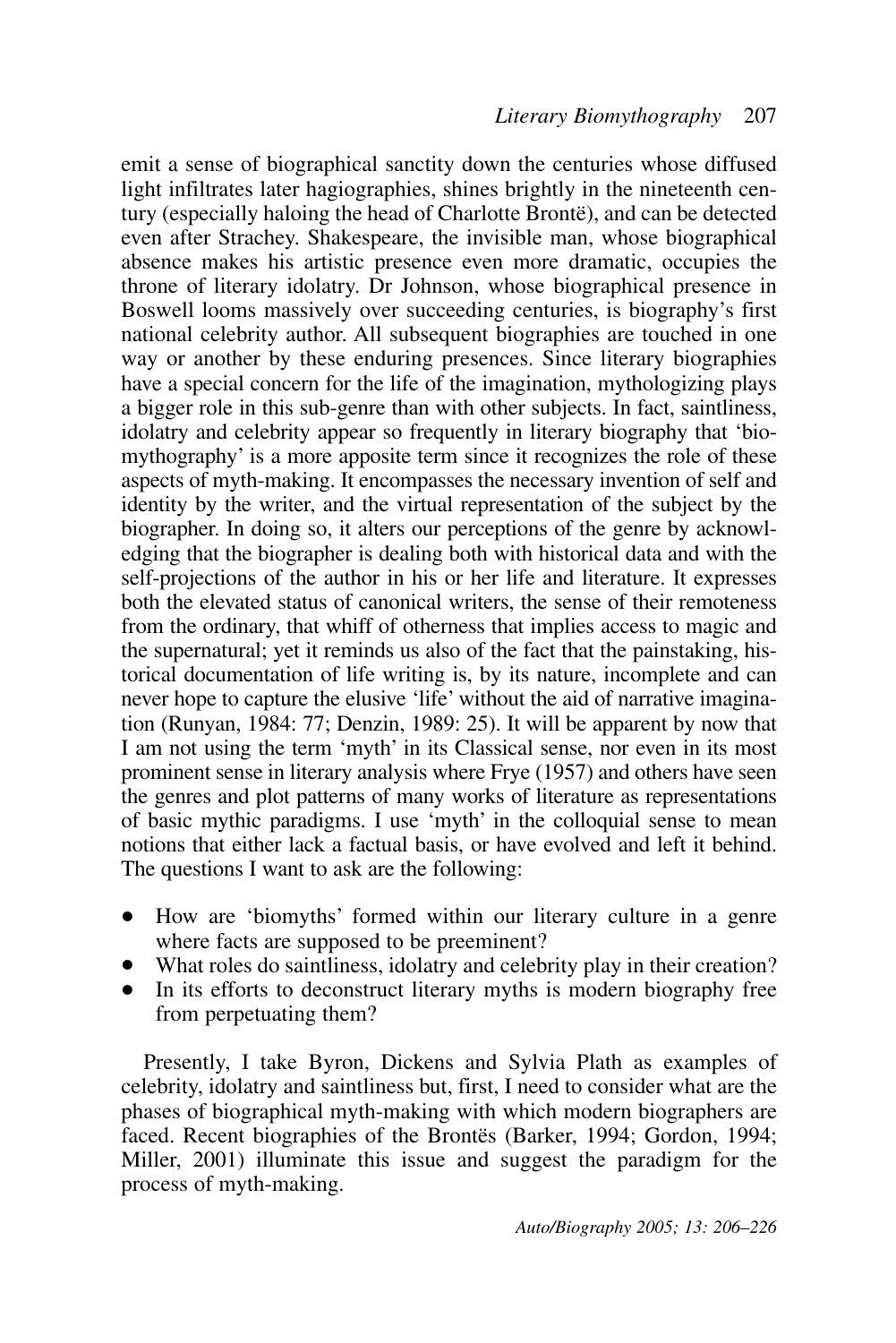emit a sense of biographical sanctity down the centuries whose diffused light infiltrates later hagiographies, shines brightly in the nineteenth century (especially haloing the head of Charlotte Brontë), and can be detected even after Strachey. Shakespeare, the invisible man, whose biographical absence makes his artistic presence even more dramatic, occupies the throne of literary idolatry. Dr Johnson, whose biographical presence in Boswell looms massively over succeeding centuries, is biography's first national celebrity author. All subsequent biographies are touched in one way or another by these enduring presences. Since literary biographies have a special concern for the life of the imagination, mythologizing plays a bigger role in this sub-genre than with other subjects. In fact, saintliness, idolatry and celebrity appear so frequently in literary biography that 'biomythography' is a more apposite term since it recognizes the role of these aspects of myth-making. It encompasses the necessary invention of self and identity by the writer, and the virtual representation of the subject by the biographer. In doing so, it alters our perceptions of the genre by acknowledging that the biographer is dealing both with historical data and with the self-projections of the author in his or her life and literature. It expresses both the elevated status of canonical writers, the sense of their remoteness from the ordinary, that whiff of otherness that implies access to magic and the supernatural; yet it reminds us also of the fact that the painstaking, historical documentation of life writing is, by its nature, incomplete and can never hope to capture the elusive 'life' without the aid of narrative imagination (Runyan, 1984: 77; Denzin, 1989: 25). It will be apparent by now that I am not using the term 'myth' in its Classical sense, nor even in its most prominent sense in literary analysis where Frye (1957) and others have seen the genres and plot patterns of many works of literature as representations of basic mythic paradigms. I use 'myth' in the colloquial sense to mean notions that either lack a factual basis, or have evolved and left it behind. The questions I want to ask are the following:

- How are 'biomyths' formed within our literary culture in a genre  $\bullet$ where facts are supposed to be preeminent?
- What roles do saintliness, idolarry and celebrity play in their creation?
- In its efforts to deconstruct literary myths is modern biography free  $\bullet$ from perpetuating them?

Presently, I take Byron, Dickens and Sylvia Plath as examples of celebrity, idolatry and saintliness but, first, I need to consider what are the phases of biographical myth-making with which modern biographers are faced. Recent biographies of the Brontës (Barker, 1994; Gordon, 1994; Miller, 2001) illuminate this issue and suggest the paradigm for the process of myth-making.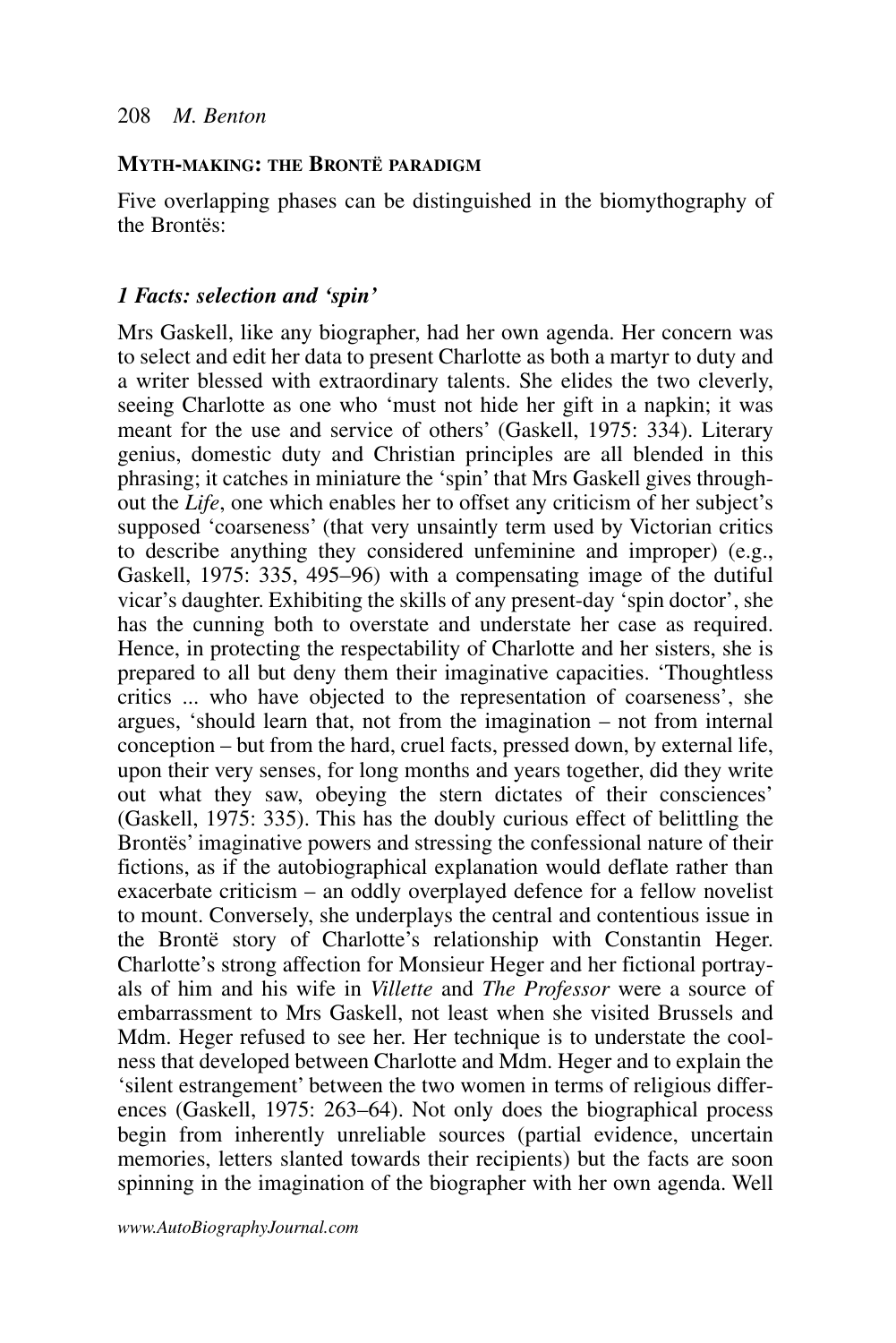#### **MYTH-MAKING: THE BRONTË PARADIGM**

Five overlapping phases can be distinguished in the biomythography of the Brontës:

# 1 Facts: selection and 'spin'

Mrs Gaskell, like any biographer, had her own agenda. Her concern was to select and edit her data to present Charlotte as both a martyr to duty and a writer blessed with extraordinary talents. She elides the two cleverly, seeing Charlotte as one who 'must not hide her gift in a napkin; it was meant for the use and service of others' (Gaskell, 1975: 334). Literary genius, domestic duty and Christian principles are all blended in this phrasing; it catches in miniature the 'spin' that Mrs Gaskell gives throughout the Life, one which enables her to offset any criticism of her subject's supposed 'coarseness' (that very unsaintly term used by Victorian critics to describe anything they considered unfeminine and improper) (e.g., Gaskell, 1975: 335, 495–96) with a compensating image of the dutiful vicar's daughter. Exhibiting the skills of any present-day 'spin doctor', she has the cunning both to overstate and understate her case as required. Hence, in protecting the respectability of Charlotte and her sisters, she is prepared to all but deny them their imaginative capacities. 'Thoughtless critics ... who have objected to the representation of coarseness', she argues, 'should learn that, not from the imagination – not from internal conception – but from the hard, cruel facts, pressed down, by external life, upon their very senses, for long months and years together, did they write out what they saw, obeying the stern dictates of their consciences' (Gaskell, 1975: 335). This has the doubly curious effect of belittling the Brontës' imaginative powers and stressing the confessional nature of their fictions, as if the autobiographical explanation would deflate rather than exacerbate criticism – an oddly overplayed defence for a fellow novelist to mount. Conversely, she underplays the central and contentious issue in the Brontë story of Charlotte's relationship with Constantin Heger. Charlotte's strong affection for Monsieur Heger and her fictional portrayals of him and his wife in *Villette* and *The Professor* were a source of embarrassment to Mrs Gaskell, not least when she visited Brussels and Mdm. Heger refused to see her. Her technique is to understate the coolness that developed between Charlotte and Mdm. Heger and to explain the 'silent estrangement' between the two women in terms of religious differences (Gaskell, 1975: 263–64). Not only does the biographical process begin from inherently unreliable sources (partial evidence, uncertain memories, letters slanted towards their recipients) but the facts are soon spinning in the imagination of the biographer with her own agenda. Well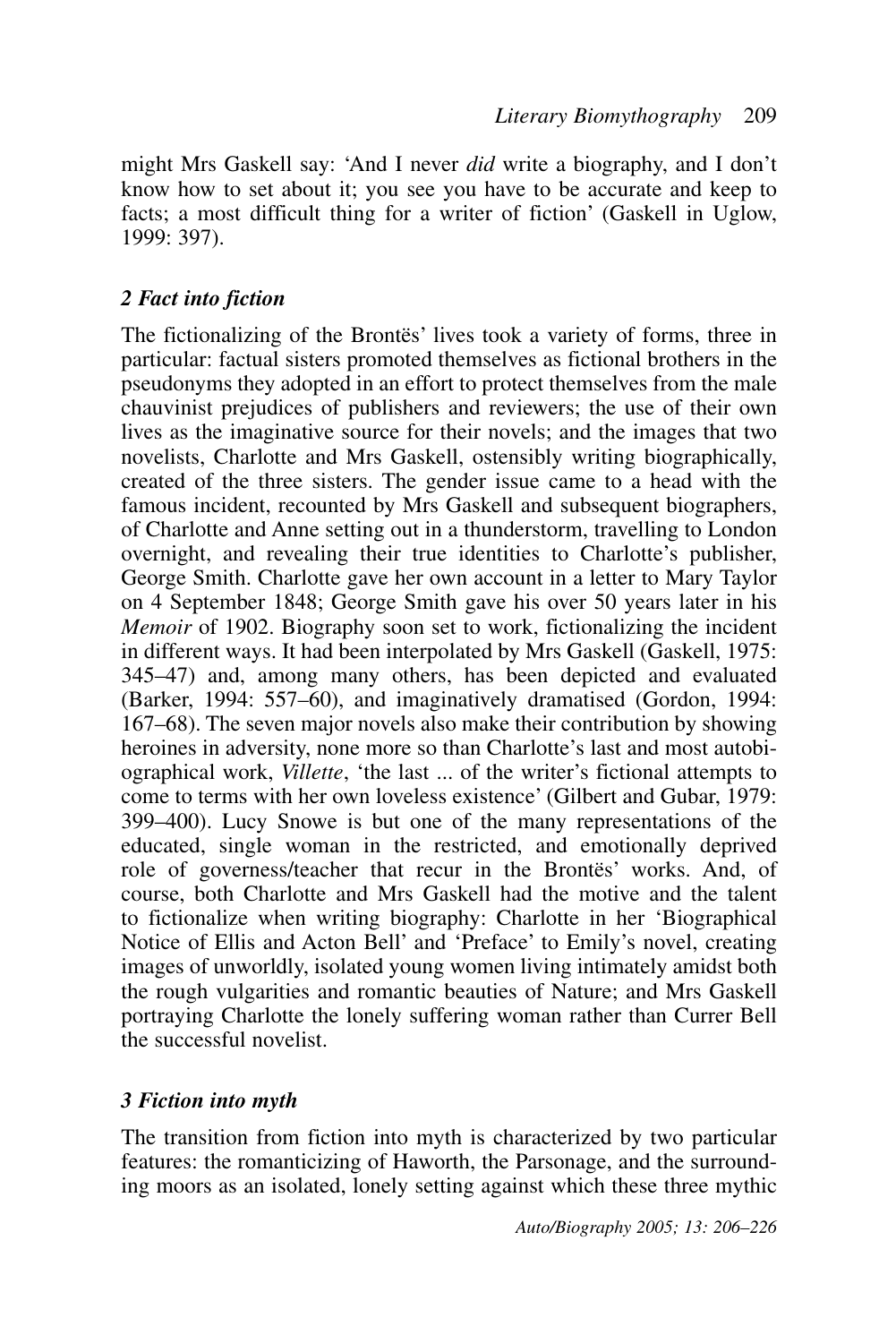might Mrs Gaskell say: 'And I never did write a biography, and I don't know how to set about it; you see you have to be accurate and keep to facts; a most difficult thing for a writer of fiction' (Gaskell in Uglow, 1999: 397).

## 2 Fact into fiction

The fictionalizing of the Brontës' lives took a variety of forms, three in particular: factual sisters promoted themselves as fictional brothers in the pseudonyms they adopted in an effort to protect themselves from the male chauvinist prejudices of publishers and reviewers; the use of their own lives as the imaginative source for their novels; and the images that two novelists, Charlotte and Mrs Gaskell, ostensibly writing biographically, created of the three sisters. The gender issue came to a head with the famous incident, recounted by Mrs Gaskell and subsequent biographers, of Charlotte and Anne setting out in a thunderstorm, travelling to London overnight, and revealing their true identities to Charlotte's publisher, George Smith. Charlotte gave her own account in a letter to Mary Taylor on 4 September 1848; George Smith gave his over 50 years later in his Memoir of 1902. Biography soon set to work, fictionalizing the incident in different ways. It had been interpolated by Mrs Gaskell (Gaskell, 1975: 345–47) and, among many others, has been depicted and evaluated (Barker, 1994: 557–60), and imaginatively dramatised (Gordon, 1994:  $167-68$ ). The seven major novels also make their contribution by showing heroines in adversity, none more so than Charlotte's last and most autobiographical work, Villette, 'the last ... of the writer's fictional attempts to come to terms with her own loveless existence' (Gilbert and Gubar, 1979: 399–400). Lucy Snowe is but one of the many representations of the educated, single woman in the restricted, and emotionally deprived role of governess/teacher that recur in the Brontës' works. And, of course, both Charlotte and Mrs Gaskell had the motive and the talent to fictionalize when writing biography: Charlotte in her 'Biographical Notice of Ellis and Acton Bell' and 'Preface' to Emily's novel, creating images of unworldly, isolated young women living intimately amidst both the rough vulgarities and romantic beauties of Nature; and Mrs Gaskell portraying Charlotte the lonely suffering woman rather than Currer Bell the successful novelist.

# 3 Fiction into myth

The transition from fiction into myth is characterized by two particular features: the romanticizing of Haworth, the Parsonage, and the surrounding moors as an isolated, lonely setting against which these three mythic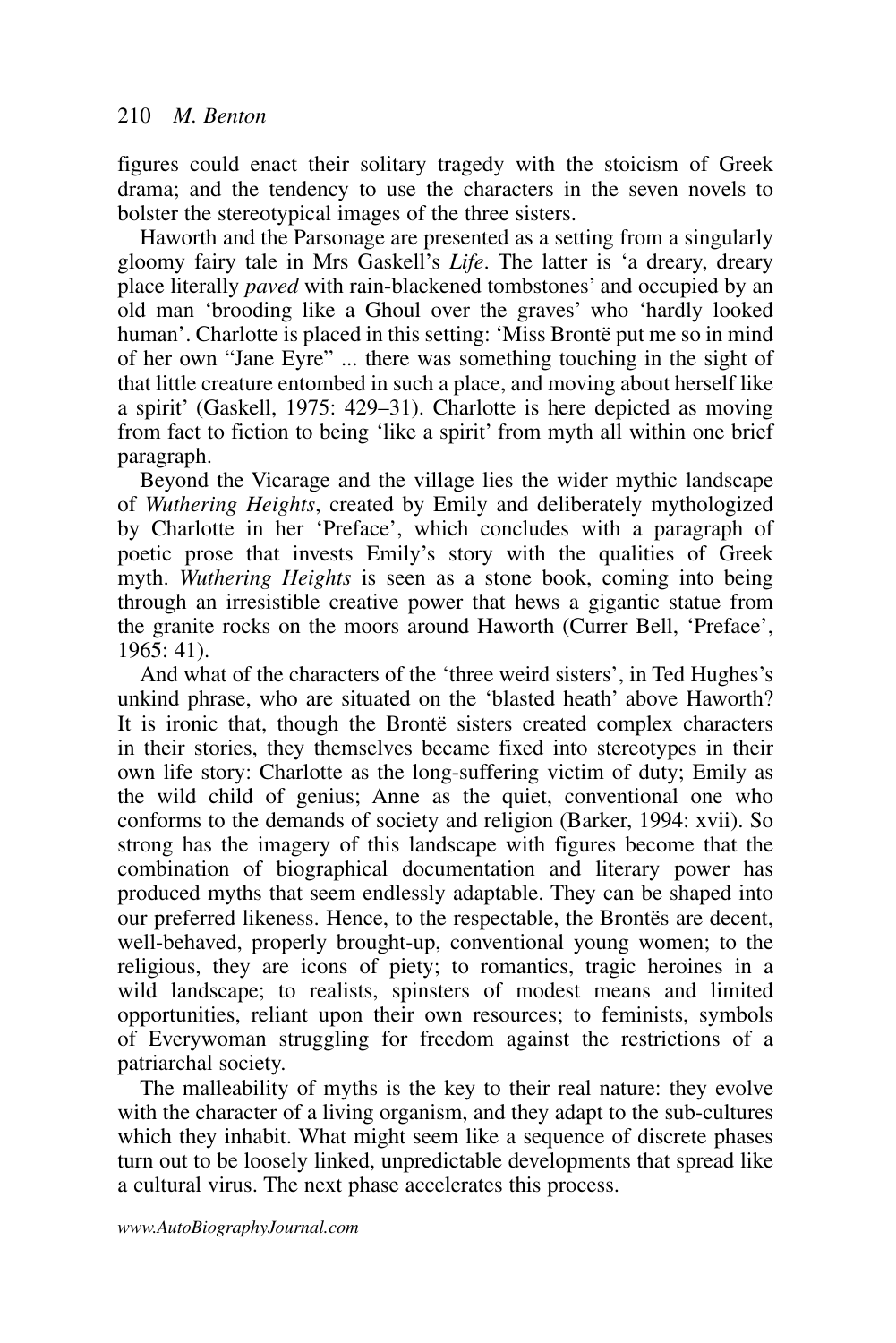figures could enact their solitary tragedy with the stoicism of Greek drama; and the tendency to use the characters in the seven novels to bolster the stereotypical images of the three sisters.

Haworth and the Parsonage are presented as a setting from a singularly gloomy fairy tale in Mrs Gaskell's Life. The latter is 'a dreary, dreary place literally *paved* with rain-blackened tombstones' and occupied by an old man 'brooding like a Ghoul over the graves' who 'hardly looked human'. Charlotte is placed in this setting: 'Miss Brontë put me so in mind of her own "Jane Eyre" ... there was something touching in the sight of that little creature entombed in such a place, and moving about herself like a spirit' (Gaskell, 1975: 429–31). Charlotte is here depicted as moving from fact to fiction to being 'like a spirit' from myth all within one brief paragraph.

Beyond the Vicarage and the village lies the wider mythic landscape of Wuthering Heights, created by Emily and deliberately mythologized by Charlotte in her 'Preface', which concludes with a paragraph of poetic prose that invests Emily's story with the qualities of Greek myth. Wuthering Heights is seen as a stone book, coming into being through an irresistible creative power that hews a gigantic statue from the granite rocks on the moors around Haworth (Currer Bell, 'Preface',  $1965:41$ .

And what of the characters of the 'three weird sisters', in Ted Hughes's unkind phrase, who are situated on the 'blasted heath' above Haworth? It is ironic that, though the Brontë sisters created complex characters in their stories, they themselves became fixed into stereotypes in their own life story: Charlotte as the long-suffering victim of duty; Emily as the wild child of genius; Anne as the quiet, conventional one who conforms to the demands of society and religion (Barker, 1994: xvii). So strong has the imagery of this landscape with figures become that the combination of biographical documentation and literary power has produced myths that seem endlessly adaptable. They can be shaped into our preferred likeness. Hence, to the respectable, the Brontës are decent, well-behaved, properly brought-up, conventional young women; to the religious, they are icons of piety; to romantics, tragic heroines in a wild landscape; to realists, spinsters of modest means and limited opportunities, reliant upon their own resources; to feminists, symbols of Everywoman struggling for freedom against the restrictions of a patriarchal society.

The malleability of myths is the key to their real nature: they evolve with the character of a living organism, and they adapt to the sub-cultures which they inhabit. What might seem like a sequence of discrete phases turn out to be loosely linked, unpredictable developments that spread like a cultural virus. The next phase accelerates this process.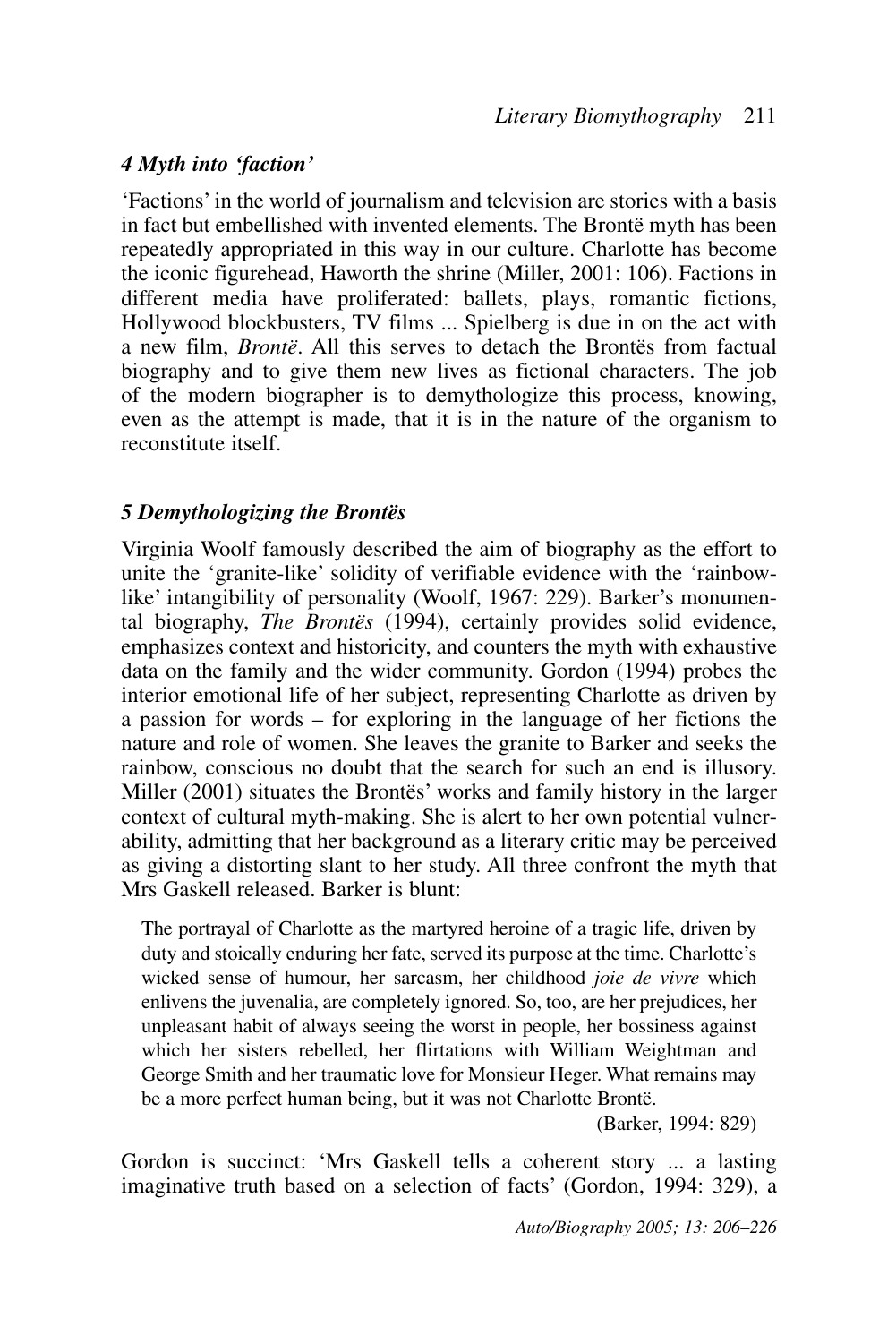# 4 Myth into 'faction'

'Factions' in the world of journalism and television are stories with a basis in fact but embellished with invented elements. The Brontë myth has been repeatedly appropriated in this way in our culture. Charlotte has become the iconic figurehead, Haworth the shrine (Miller, 2001: 106). Factions in different media have proliferated: ballets, plays, romantic fictions, Hollywood blockbusters, TV films ... Spielberg is due in on the act with a new film, *Brontë*. All this serves to detach the Brontës from factual biography and to give them new lives as fictional characters. The job of the modern biographer is to demythologize this process, knowing, even as the attempt is made, that it is in the nature of the organism to reconstitute itself

# 5 Demythologizing the Brontës

Virginia Woolf famously described the aim of biography as the effort to unite the 'granite-like' solidity of verifiable evidence with the 'rainbowlike' intangibility of personality (Woolf, 1967: 229). Barker's monumental biography, *The Brontës* (1994), certainly provides solid evidence, emphasizes context and historicity, and counters the myth with exhaustive data on the family and the wider community. Gordon (1994) probes the interior emotional life of her subject, representing Charlotte as driven by a passion for words – for exploring in the language of her fictions the nature and role of women. She leaves the granite to Barker and seeks the rainbow, conscious no doubt that the search for such an end is illusory. Miller (2001) situates the Brontës' works and family history in the larger context of cultural myth-making. She is alert to her own potential vulnerability, admitting that her background as a literary critic may be perceived as giving a distorting slant to her study. All three confront the myth that Mrs Gaskell released. Barker is blunt:

The portrayal of Charlotte as the martyred heroine of a tragic life, driven by duty and stoically enduring her fate, served its purpose at the time. Charlotte's wicked sense of humour, her sarcasm, her childhood joie de vivre which enlivens the juvenalia, are completely ignored. So, too, are her prejudices, her unpleasant habit of always seeing the worst in people, her bossiness against which her sisters rebelled, her flirtations with William Weightman and George Smith and her traumatic love for Monsieur Heger. What remains may be a more perfect human being, but it was not Charlotte Brontë.

(Barker, 1994: 829)

Gordon is succinct: 'Mrs Gaskell tells a coherent story ... a lasting imaginative truth based on a selection of facts' (Gordon, 1994: 329), a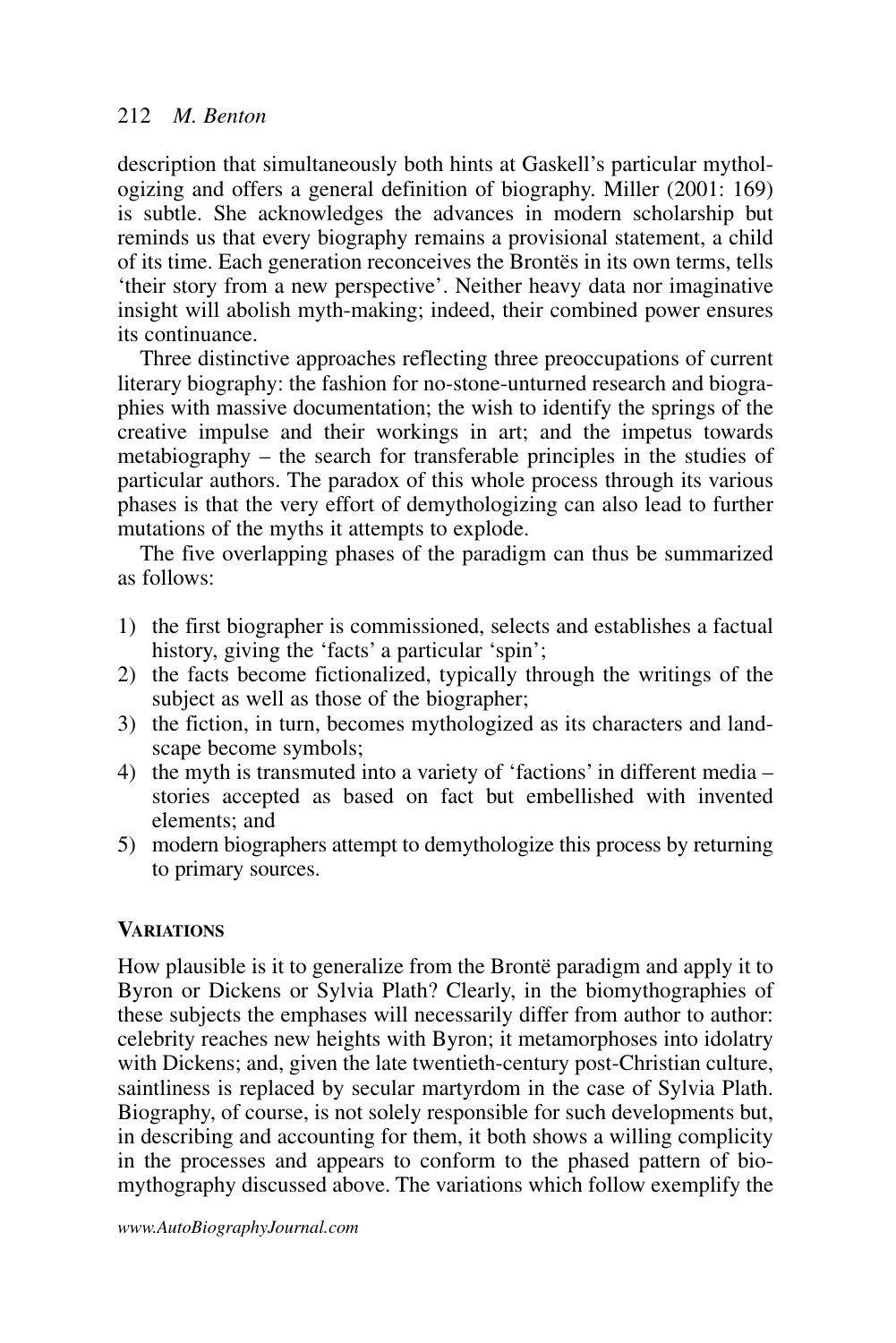description that simultaneously both hints at Gaskell's particular mythologizing and offers a general definition of biography. Miller (2001: 169) is subtle. She acknowledges the advances in modern scholarship but reminds us that every biography remains a provisional statement, a child of its time. Each generation reconceives the Brontës in its own terms, tells 'their story from a new perspective'. Neither heavy data nor imaginative insight will abolish myth-making; indeed, their combined power ensures its continuance

Three distinctive approaches reflecting three preoccupations of current literary biography: the fashion for no-stone-unturned research and biographies with massive documentation; the wish to identify the springs of the creative impulse and their workings in art; and the impetus towards metabiography – the search for transferable principles in the studies of particular authors. The paradox of this whole process through its various phases is that the very effort of demythologizing can also lead to further mutations of the myths it attempts to explode.

The five overlapping phases of the paradigm can thus be summarized as follows:

- 1) the first biographer is commissioned, selects and establishes a factual history, giving the 'facts' a particular 'spin';
- the facts become fictionalized, typically through the writings of the  $(2)$ subject as well as those of the biographer;
- 3) the fiction, in turn, becomes mythologized as its characters and landscape become symbols;
- 4) the myth is transmuted into a variety of 'factions' in different media stories accepted as based on fact but embellished with invented elements: and
- 5) modern biographers attempt to demythologize this process by returning to primary sources.

## **VARIATIONS**

How plausible is it to generalize from the Brontë paradigm and apply it to Byron or Dickens or Sylvia Plath? Clearly, in the biomythographies of these subjects the emphases will necessarily differ from author to author: celebrity reaches new heights with Byron; it metamorphoses into idolatry with Dickens; and, given the late twentieth-century post-Christian culture, saintliness is replaced by secular martyrdom in the case of Sylvia Plath. Biography, of course, is not solely responsible for such developments but, in describing and accounting for them, it both shows a willing complicity in the processes and appears to conform to the phased pattern of biomythography discussed above. The variations which follow exemplify the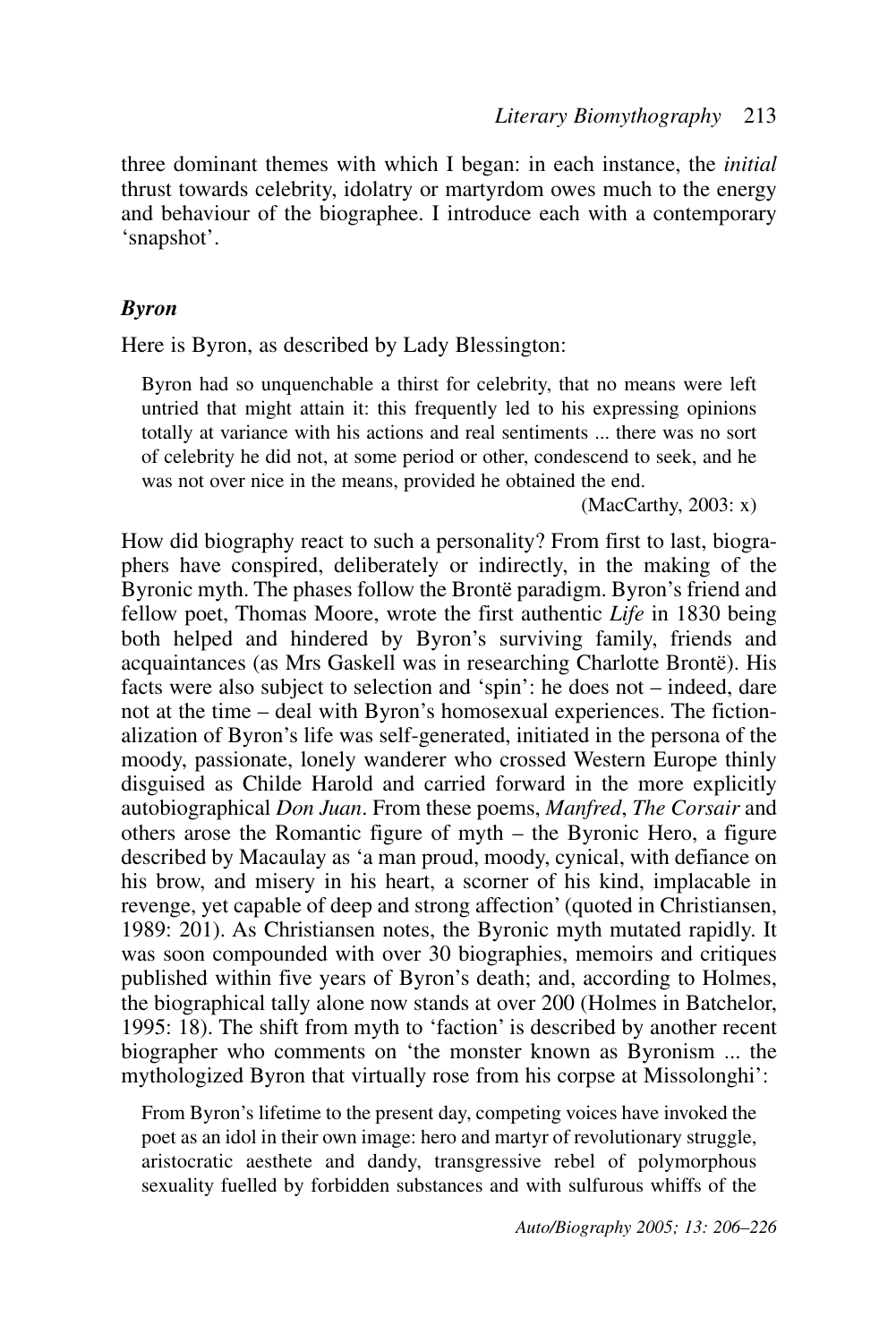three dominant themes with which I began: in each instance, the *initial* thrust towards celebrity, idolatry or martyrdom owes much to the energy and behaviour of the biographee. I introduce each with a contemporary 'snapshot'.

#### **Byron**

Here is Byron, as described by Lady Blessington:

Byron had so unquenchable a thirst for celebrity, that no means were left untried that might attain it: this frequently led to his expressing opinions totally at variance with his actions and real sentiments ... there was no sort of celebrity he did not, at some period or other, condescend to seek, and he was not over nice in the means, provided he obtained the end.

 $(MacCarthy, 2003; x)$ 

How did biography react to such a personality? From first to last, biographers have conspired, deliberately or indirectly, in the making of the Byronic myth. The phases follow the Brontë paradigm. Byron's friend and fellow poet, Thomas Moore, wrote the first authentic Life in 1830 being both helped and hindered by Byron's surviving family, friends and acquaintances (as Mrs Gaskell was in researching Charlotte Brontë). His facts were also subject to selection and 'spin': he does not – indeed, dare not at the time – deal with Byron's homosexual experiences. The fictionalization of Byron's life was self-generated, initiated in the persona of the moody, passionate, lonely wanderer who crossed Western Europe thinly disguised as Childe Harold and carried forward in the more explicitly autobiographical Don Juan. From these poems, Manfred, The Corsair and others arose the Romantic figure of  $m\hat{v}$ th – the Byronic Hero, a figure described by Macaulay as 'a man proud, moody, cynical, with defiance on his brow, and misery in his heart, a scorner of his kind, implacable in revenge, yet capable of deep and strong affection' (quoted in Christiansen, 1989: 201). As Christiansen notes, the Byronic myth mutated rapidly. It was soon compounded with over 30 biographies, memoirs and critiques published within five years of Byron's death; and, according to Holmes, the biographical tally alone now stands at over 200 (Holmes in Batchelor, 1995: 18). The shift from myth to 'faction' is described by another recent biographer who comments on 'the monster known as Byronism ... the mythologized Byron that virtually rose from his corpse at Missolonghi':

From Byron's lifetime to the present day, competing voices have invoked the poet as an idol in their own image: hero and martyr of revolutionary struggle, aristocratic aesthete and dandy, transgressive rebel of polymorphous sexuality fuelled by forbidden substances and with sulfurous whiffs of the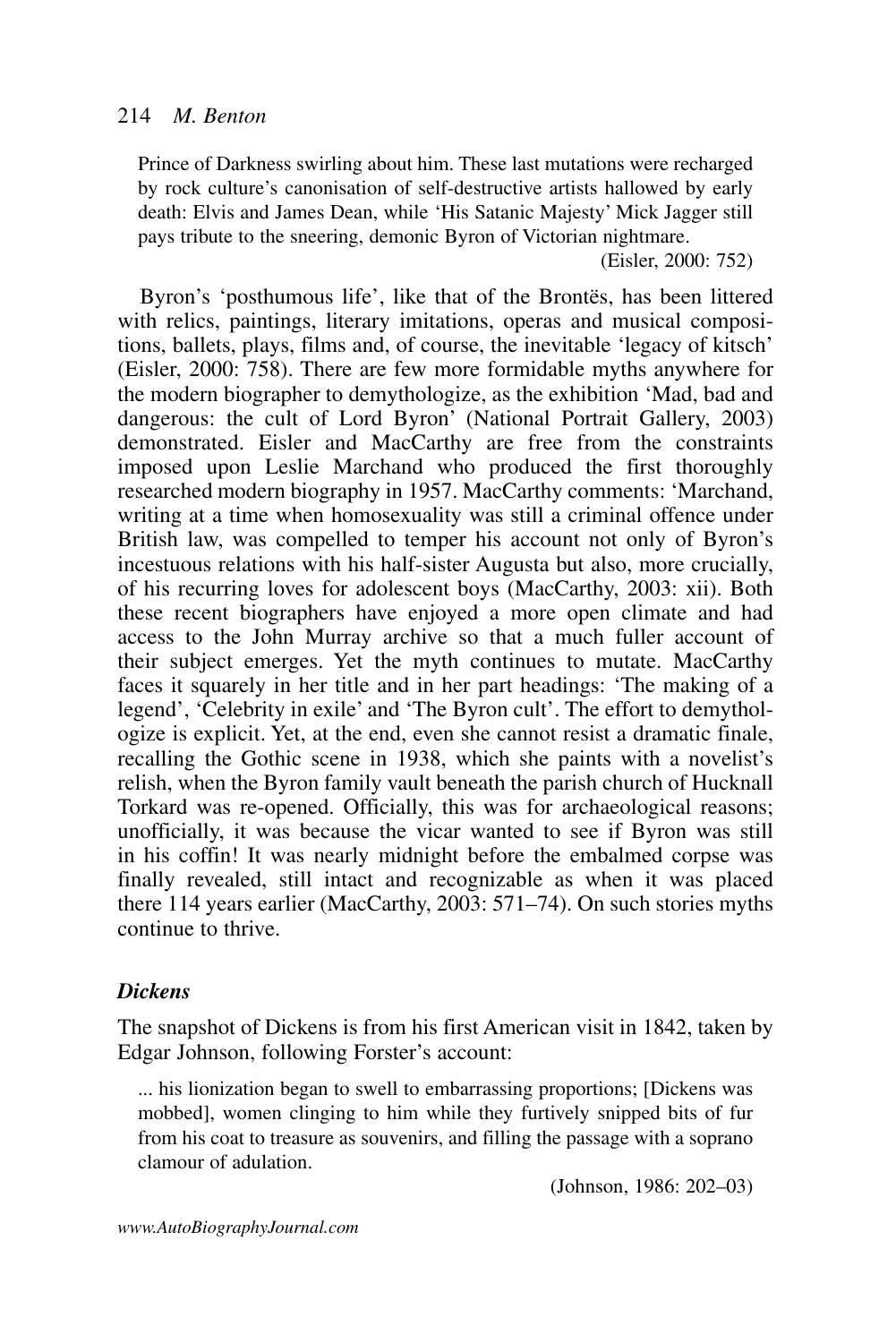Prince of Darkness swirling about him. These last mutations were recharged by rock culture's canonisation of self-destructive artists hallowed by early death: Elvis and James Dean, while 'His Satanic Majesty' Mick Jagger still pays tribute to the sneering, demonic Byron of Victorian nightmare.

(Eisler, 2000: 752)

Byron's 'posthumous life', like that of the Brontës, has been littered with relics, paintings, literary imitations, operas and musical compositions, ballets, plays, films and, of course, the inevitable 'legacy of kitsch' (Eisler, 2000: 758). There are few more formidable myths anywhere for the modern biographer to demythologize, as the exhibition 'Mad, bad and dangerous: the cult of Lord Byron' (National Portrait Gallery, 2003) demonstrated. Eisler and MacCarthy are free from the constraints imposed upon Leslie Marchand who produced the first thoroughly researched modern biography in 1957. MacCarthy comments: 'Marchand, writing at a time when homosexuality was still a criminal offence under British law, was compelled to temper his account not only of Byron's incestuous relations with his half-sister Augusta but also, more crucially, of his recurring loves for adolescent boys (MacCarthy, 2003: xii). Both these recent biographers have enjoyed a more open climate and had access to the John Murray archive so that a much fuller account of their subject emerges. Yet the myth continues to mutate. MacCarthy faces it squarely in her title and in her part headings: 'The making of a legend', 'Celebrity in exile' and 'The Byron cult'. The effort to demythologize is explicit. Yet, at the end, even she cannot resist a dramatic finale, recalling the Gothic scene in 1938, which she paints with a novelist's relish, when the Byron family vault beneath the parish church of Hucknall Torkard was re-opened. Officially, this was for archaeological reasons; unofficially, it was because the vicar wanted to see if Byron was still in his coffin! It was nearly midnight before the embalmed corpse was finally revealed, still intact and recognizable as when it was placed there 114 years earlier (MacCarthy,  $2003: 571-74$ ). On such stories myths continue to thrive

#### **Dickens**

The snapshot of Dickens is from his first American visit in 1842, taken by Edgar Johnson, following Forster's account:

... his lionization began to swell to embarrassing proportions; [Dickens was mobbed], women clinging to him while they furtively snipped bits of fur from his coat to treasure as souvenirs, and filling the passage with a soprano clamour of adulation.

(Johnson, 1986: 202-03)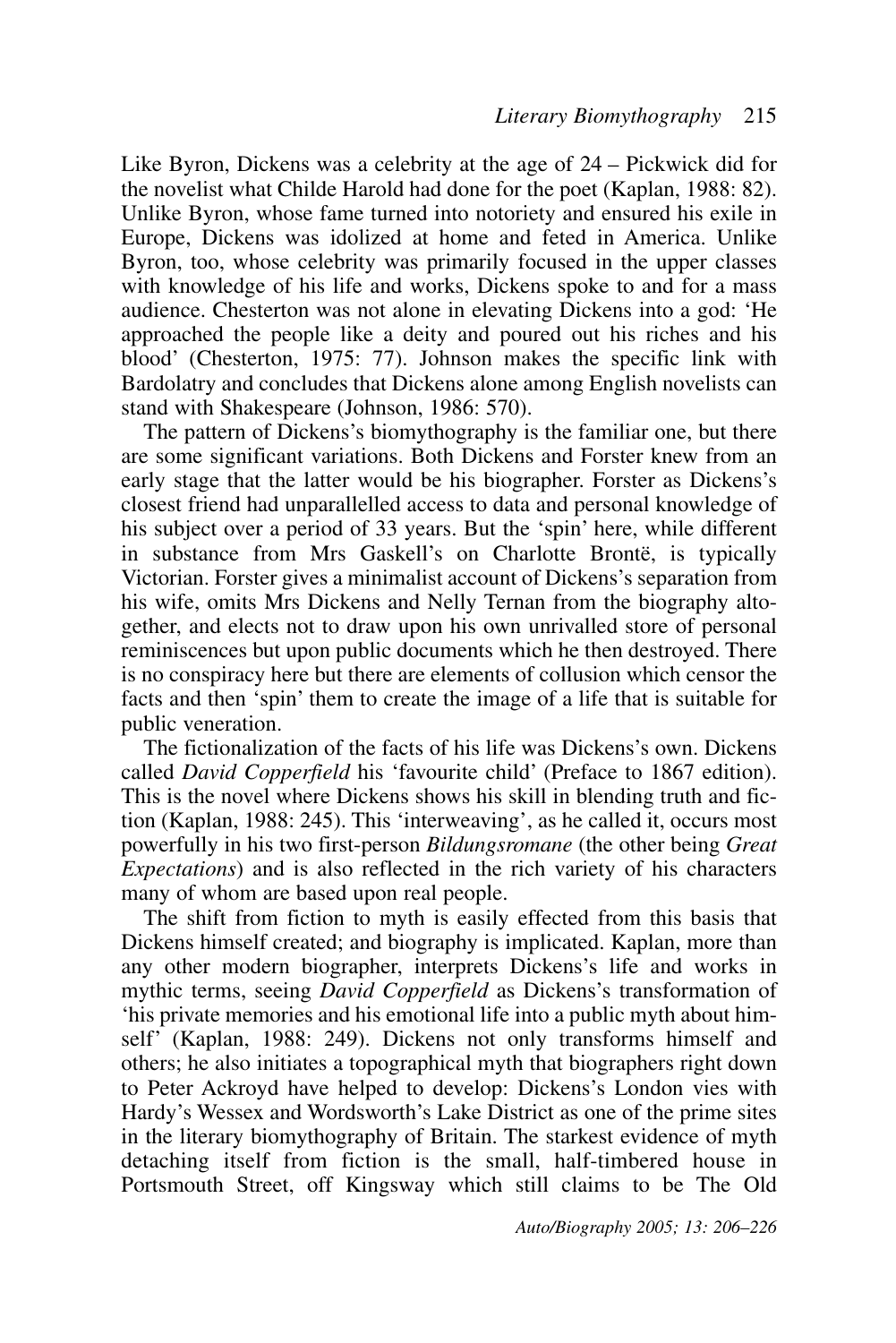Like Byron, Dickens was a celebrity at the age of 24 – Pickwick did for the novelist what Childe Harold had done for the poet (Kaplan, 1988: 82). Unlike Byron, whose fame turned into notoriety and ensured his exile in Europe, Dickens was idolized at home and feted in America. Unlike Byron, too, whose celebrity was primarily focused in the upper classes with knowledge of his life and works, Dickens spoke to and for a mass audience. Chesterton was not alone in elevating Dickens into a god: 'He approached the people like a deity and poured out his riches and his blood' (Chesterton, 1975: 77). Johnson makes the specific link with Bardolatry and concludes that Dickens alone among English novelists can stand with Shakespeare (Johnson, 1986: 570).

The pattern of Dickens's biomythography is the familiar one, but there are some significant variations. Both Dickens and Forster knew from an early stage that the latter would be his biographer. Forster as Dickens's closest friend had unparallelled access to data and personal knowledge of his subject over a period of 33 years. But the 'spin' here, while different in substance from Mrs Gaskell's on Charlotte Brontë, is typically Victorian. Forster gives a minimalist account of Dickens's separation from his wife, omits Mrs Dickens and Nelly Ternan from the biography altogether, and elects not to draw upon his own unrivalled store of personal reminiscences but upon public documents which he then destroyed. There is no conspiracy here but there are elements of collusion which censor the facts and then 'spin' them to create the image of a life that is suitable for public veneration.

The fictionalization of the facts of his life was Dickens's own. Dickens called David Copperfield his 'favourite child' (Preface to 1867 edition). This is the novel where Dickens shows his skill in blending truth and fiction (Kaplan, 1988: 245). This 'interweaving', as he called it, occurs most powerfully in his two first-person *Bildungsromane* (the other being *Great Expectations*) and is also reflected in the rich variety of his characters many of whom are based upon real people.

The shift from fiction to myth is easily effected from this basis that Dickens himself created; and biography is implicated. Kaplan, more than any other modern biographer, interprets Dickens's life and works in mythic terms, seeing *David Copperfield* as Dickens's transformation of 'his private memories and his emotional life into a public myth about himself<sup>3</sup> (Kaplan, 1988: 249). Dickens not only transforms himself and others; he also initiates a topographical myth that biographers right down to Peter Ackroyd have helped to develop: Dickens's London vies with Hardy's Wessex and Wordsworth's Lake District as one of the prime sites in the literary biomythography of Britain. The starkest evidence of myth detaching itself from fiction is the small, half-timbered house in Portsmouth Street, off Kingsway which still claims to be The Old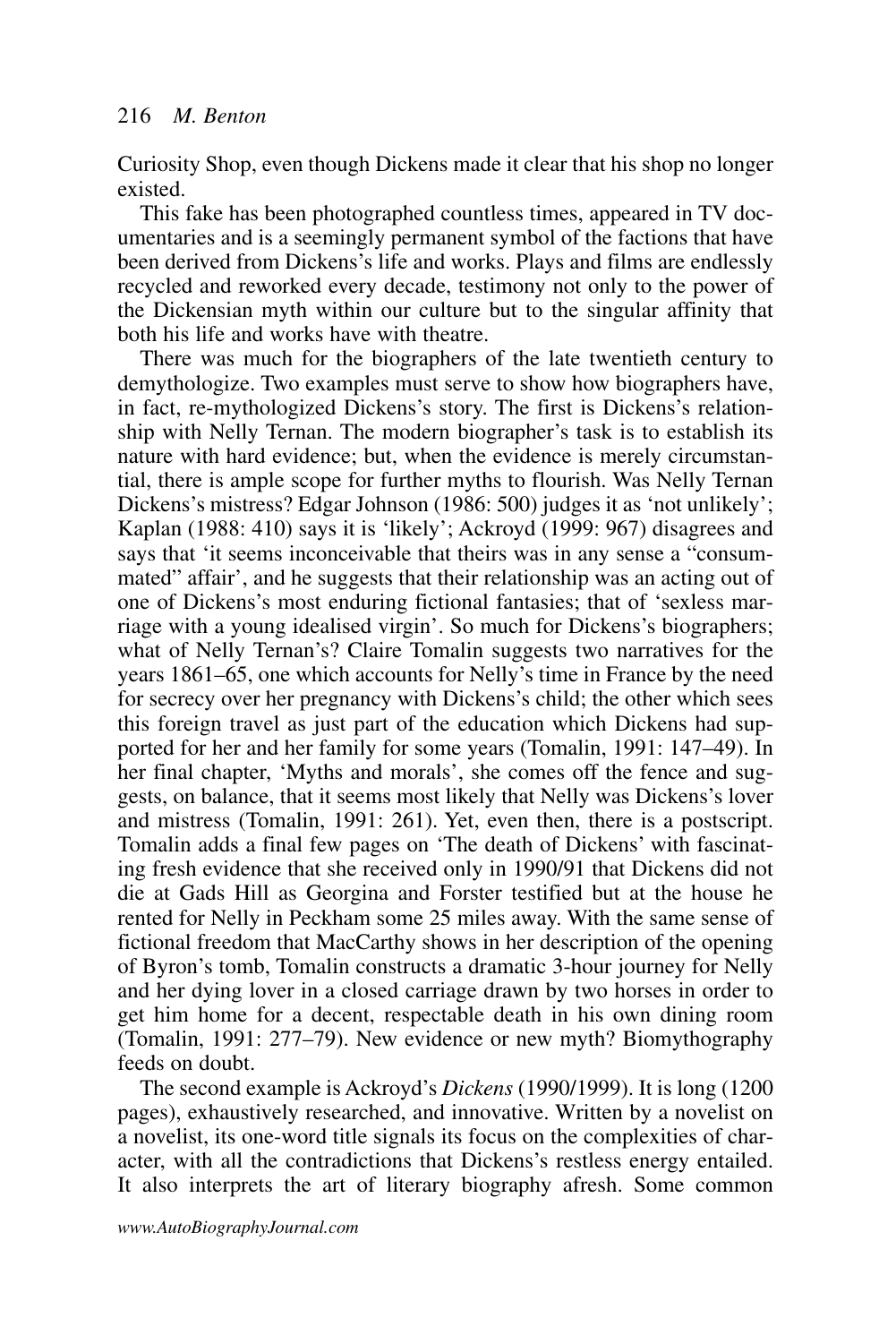Curiosity Shop, even though Dickens made it clear that his shop no longer existed.

This fake has been photographed countless times, appeared in TV documentaries and is a seemingly permanent symbol of the factions that have been derived from Dickens's life and works. Plays and films are endlessly recycled and reworked every decade, testimony not only to the power of the Dickensian myth within our culture but to the singular affinity that both his life and works have with theatre.

There was much for the biographers of the late twentieth century to demythologize. Two examples must serve to show how biographers have, in fact, re-mythologized Dickens's story. The first is Dickens's relationship with Nelly Ternan. The modern biographer's task is to establish its nature with hard evidence; but, when the evidence is merely circumstantial, there is ample scope for further myths to flourish. Was Nelly Ternan Dickens's mistress? Edgar Johnson (1986: 500) judges it as 'not unlikely'; Kaplan (1988: 410) says it is 'likely'; Ackroyd (1999: 967) disagrees and says that 'it seems inconceivable that theirs was in any sense a "consummated" affair', and he suggests that their relationship was an acting out of one of Dickens's most enduring fictional fantasies; that of 'sexless marriage with a young idealised virgin'. So much for Dickens's biographers; what of Nelly Ternan's? Claire Tomalin suggests two narratives for the years  $1861-65$ , one which accounts for Nelly's time in France by the need for secrecy over her pregnancy with Dickens's child; the other which sees this foreign travel as just part of the education which Dickens had supported for her and her family for some years (Tomalin, 1991: 147–49). In her final chapter, 'Myths and morals', she comes off the fence and suggests, on balance, that it seems most likely that Nelly was Dickens's lover and mistress (Tomalin, 1991: 261). Yet, even then, there is a postscript. Tomalin adds a final few pages on 'The death of Dickens' with fascinating fresh evidence that she received only in 1990/91 that Dickens did not die at Gads Hill as Georgina and Forster testified but at the house he rented for Nelly in Peckham some 25 miles away. With the same sense of fictional freedom that MacCarthy shows in her description of the opening of Byron's tomb, Tomalin constructs a dramatic 3-hour journey for Nelly and her dying lover in a closed carriage drawn by two horses in order to get him home for a decent, respectable death in his own dining room (Tomalin, 1991: 277–79). New evidence or new myth? Biomythography feeds on doubt.

The second example is Ackroyd's *Dickens* (1990/1999). It is long (1200) pages), exhaustively researched, and innovative. Written by a novelist on a novelist, its one-word title signals its focus on the complexities of character, with all the contradictions that Dickens's restless energy entailed. It also interprets the art of literary biography afresh. Some common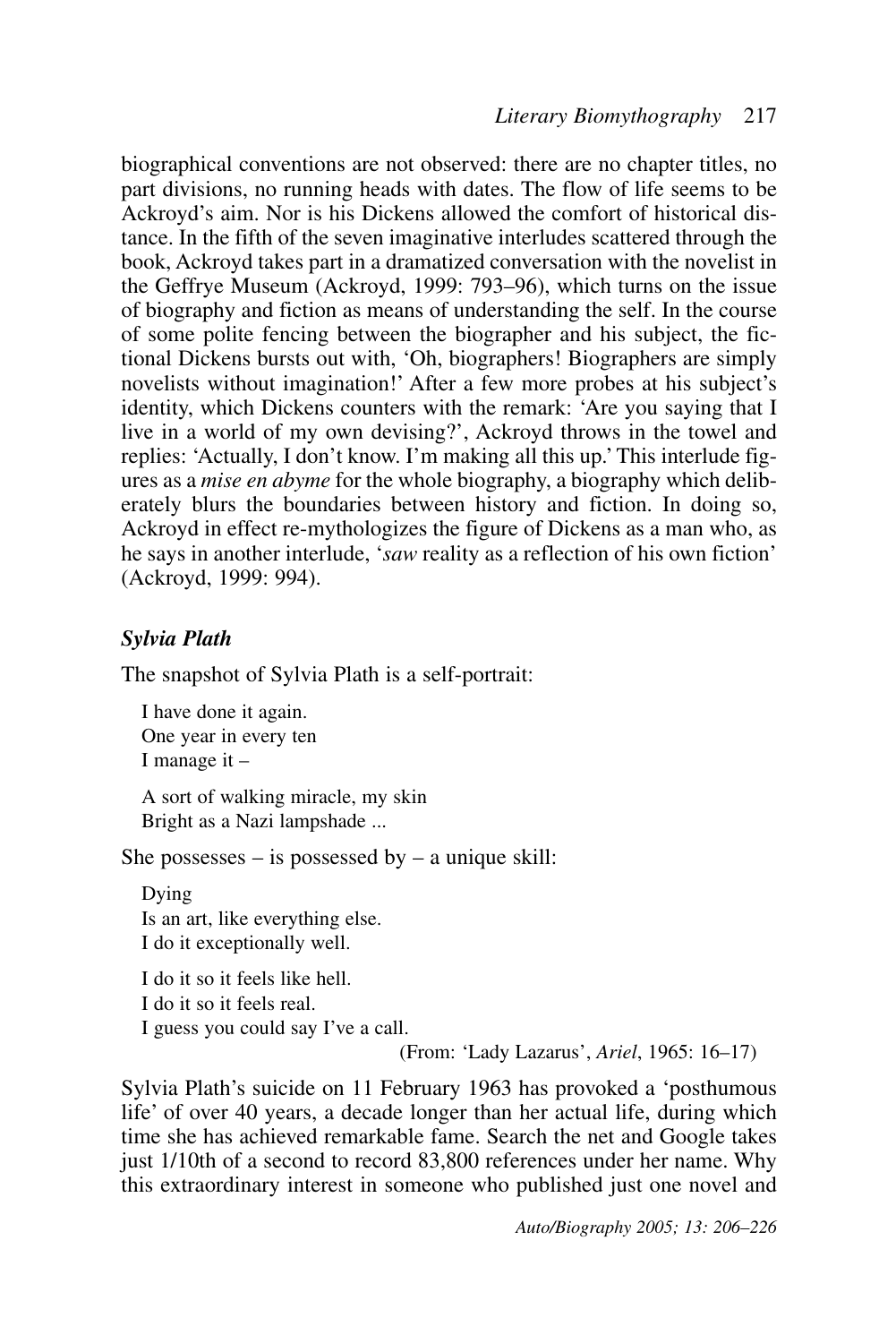biographical conventions are not observed: there are no chapter titles, no part divisions, no running heads with dates. The flow of life seems to be Ackroyd's aim. Nor is his Dickens allowed the comfort of historical distance. In the fifth of the seven imaginative interludes scattered through the book, Ackroyd takes part in a dramatized conversation with the novelist in the Geffrye Museum (Ackroyd, 1999: 793–96), which turns on the issue of biography and fiction as means of understanding the self. In the course of some polite fencing between the biographer and his subject, the fictional Dickens bursts out with, 'Oh, biographers! Biographers are simply novelists without imagination!' After a few more probes at his subject's identity, which Dickens counters with the remark: 'Are you saying that I live in a world of my own devising?', Ackroyd throws in the towel and replies: 'Actually, I don't know. I'm making all this up.' This interlude figures as a mise en abyme for the whole biography, a biography which deliberately blurs the boundaries between history and fiction. In doing so, Ackroyd in effect re-mythologizes the figure of Dickens as a man who, as he says in another interlude, 'saw reality as a reflection of his own fiction' (Ackroyd, 1999: 994).

# Sylvia Plath

The snapshot of Sylvia Plath is a self-portrait:

I have done it again. One year in every ten I manage it -

A sort of walking miracle, my skin Bright as a Nazi lampshade ...

She possesses – is possessed by – a unique skill:

Dying

Is an art, like everything else. I do it exceptionally well.

I do it so it feels like hell. I do it so it feels real. I guess you could say I've a call.

(From: 'Lady Lazarus', Ariel, 1965: 16-17)

Sylvia Plath's suicide on 11 February 1963 has provoked a 'posthumous' life' of over 40 years, a decade longer than her actual life, during which time she has achieved remarkable fame. Search the net and Google takes just 1/10th of a second to record 83,800 references under her name. Why this extraordinary interest in someone who published just one novel and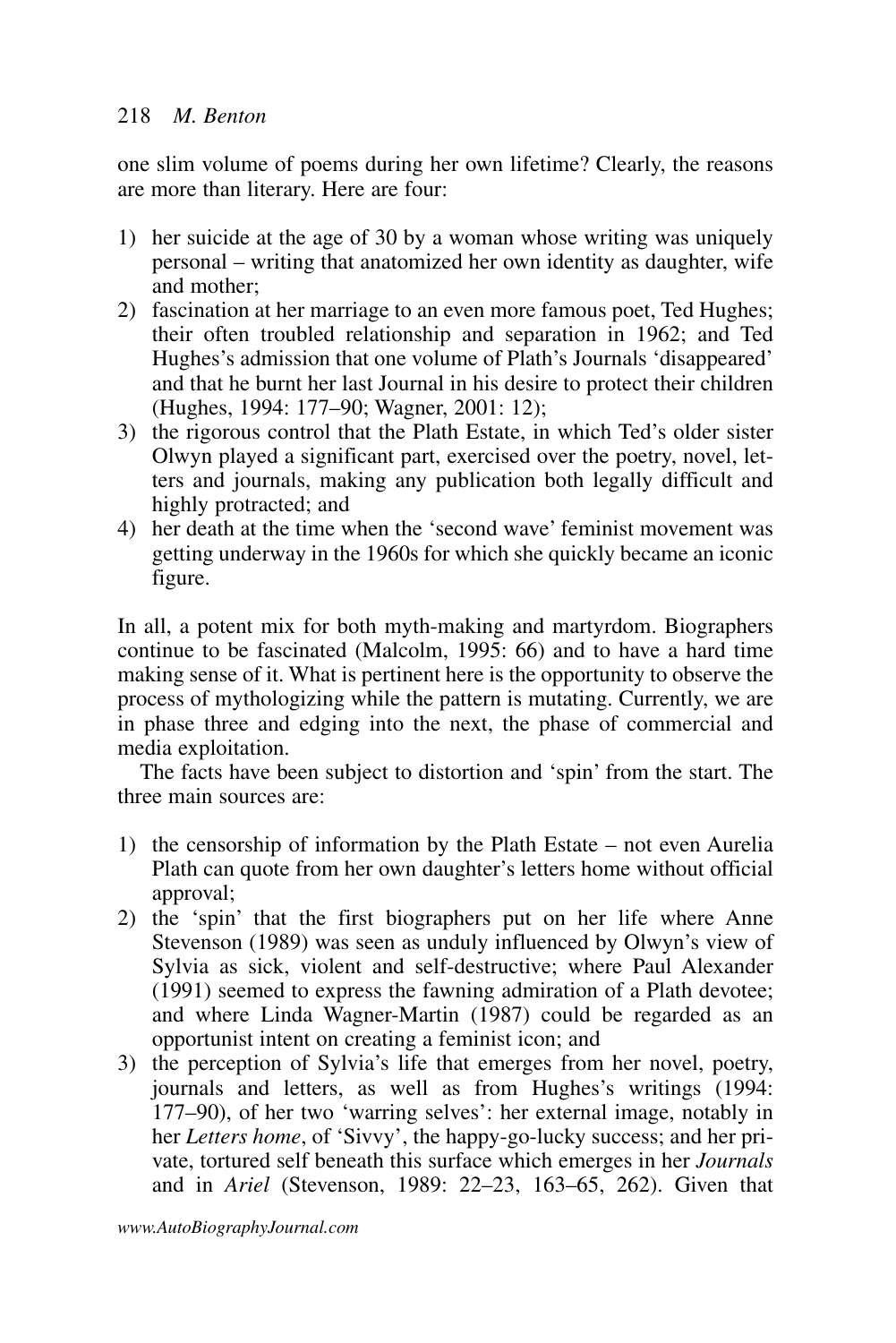one slim volume of poems during her own lifetime? Clearly, the reasons are more than literary. Here are four:

- 1) her suicide at the age of 30 by a woman whose writing was uniquely personal – writing that anatomized her own identity as daughter, wife and mother:
- 2) fascination at her marriage to an even more famous poet, Ted Hughes; their often troubled relationship and separation in 1962; and Ted Hughes's admission that one volume of Plath's Journals 'disappeared' and that he burnt her last Journal in his desire to protect their children (Hughes, 1994: 177–90; Wagner, 2001: 12);
- 3) the rigorous control that the Plath Estate, in which Ted's older sister Olwyn played a significant part, exercised over the poetry, novel, letters and journals, making any publication both legally difficult and highly protracted: and
- 4) her death at the time when the 'second wave' feminist movement was getting underway in the 1960s for which she quickly became an iconic figure.

In all, a potent mix for both myth-making and martyrdom. Biographers continue to be fascinated (Malcolm, 1995; 66) and to have a hard time making sense of it. What is pertinent here is the opportunity to observe the process of mythologizing while the pattern is mutating. Currently, we are in phase three and edging into the next, the phase of commercial and media exploitation.

The facts have been subject to distortion and 'spin' from the start. The three main sources are:

- 1) the censorship of information by the Plath Estate not even Aurelia Plath can quote from her own daughter's letters home without official approval:
- 2) the 'spin' that the first biographers put on her life where Anne Stevenson (1989) was seen as unduly influenced by Olwyn's view of Sylvia as sick, violent and self-destructive; where Paul Alexander (1991) seemed to express the fawning admiration of a Plath devotee; and where Linda Wagner-Martin (1987) could be regarded as an opportunist intent on creating a feminist icon; and
- 3) the perception of Sylvia's life that emerges from her novel, poetry, journals and letters, as well as from Hughes's writings (1994: 177–90), of her two 'warring selves': her external image, notably in her Letters home, of 'Sivvy', the happy-go-lucky success; and her private, tortured self beneath this surface which emerges in her *Journals* and in Ariel (Stevenson, 1989: 22–23, 163–65, 262). Given that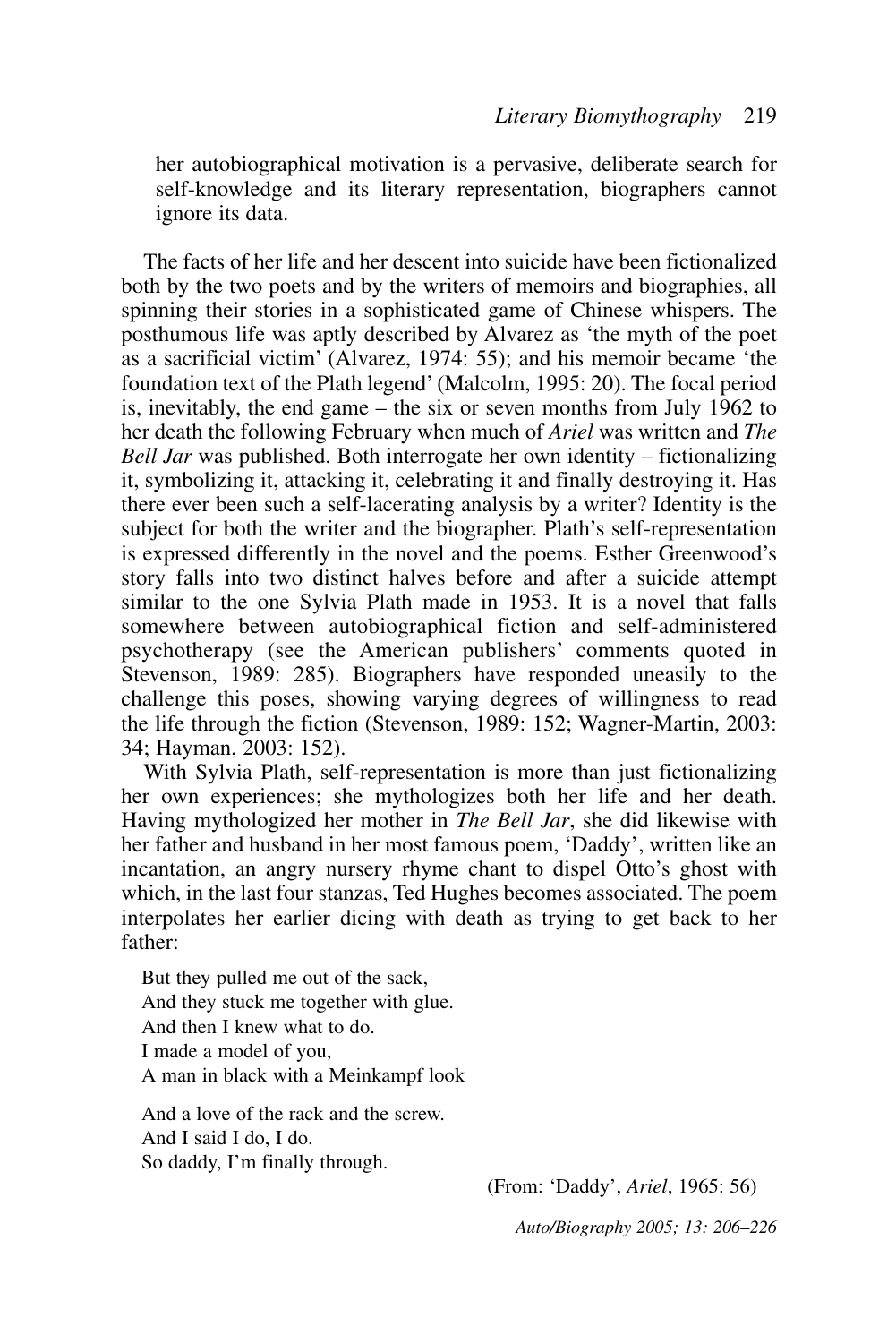her autobiographical motivation is a pervasive, deliberate search for self-knowledge and its literary representation, biographers cannot ignore its data.

The facts of her life and her descent into suicide have been fictionalized both by the two poets and by the writers of memoirs and biographies, all spinning their stories in a sophisticated game of Chinese whispers. The posthumous life was aptly described by Alvarez as 'the myth of the poet as a sacrificial victim' (Alvarez, 1974; 55); and his memoir became 'the foundation text of the Plath legend' (Malcolm, 1995: 20). The focal period is, inevitably, the end game – the six or seven months from July 1962 to her death the following February when much of Ariel was written and The Bell Jar was published. Both interrogate her own identity – fictionalizing it, symbolizing it, attacking it, celebrating it and finally destroying it. Has there ever been such a self-lacerating analysis by a writer? Identity is the subject for both the writer and the biographer. Plath's self-representation is expressed differently in the novel and the poems. Esther Greenwood's story falls into two distinct halves before and after a suicide attempt similar to the one Sylvia Plath made in 1953. It is a novel that falls somewhere between autobiographical fiction and self-administered psychotherapy (see the American publishers' comments quoted in Stevenson, 1989: 285). Biographers have responded uneasily to the challenge this poses, showing varying degrees of willingness to read the life through the fiction (Stevenson, 1989: 152; Wagner-Martin, 2003: 34; Hayman, 2003: 152).

With Sylvia Plath, self-representation is more than just fictionalizing her own experiences; she mythologizes both her life and her death. Having mythologized her mother in *The Bell Jar*, she did likewise with her father and husband in her most famous poem, 'Daddy', written like an incantation, an angry nursery rhyme chant to dispel Otto's ghost with which, in the last four stanzas, Ted Hughes becomes associated. The poem interpolates her earlier dicing with death as trying to get back to her father<sup>.</sup>

But they pulled me out of the sack, And they stuck me together with glue. And then I knew what to do. I made a model of you, A man in black with a Meinkampf look

And a love of the rack and the screw. And I said I do, I do. So daddy, I'm finally through.

(From: 'Daddy', Ariel, 1965: 56)

Auto/Biography 2005; 13: 206-226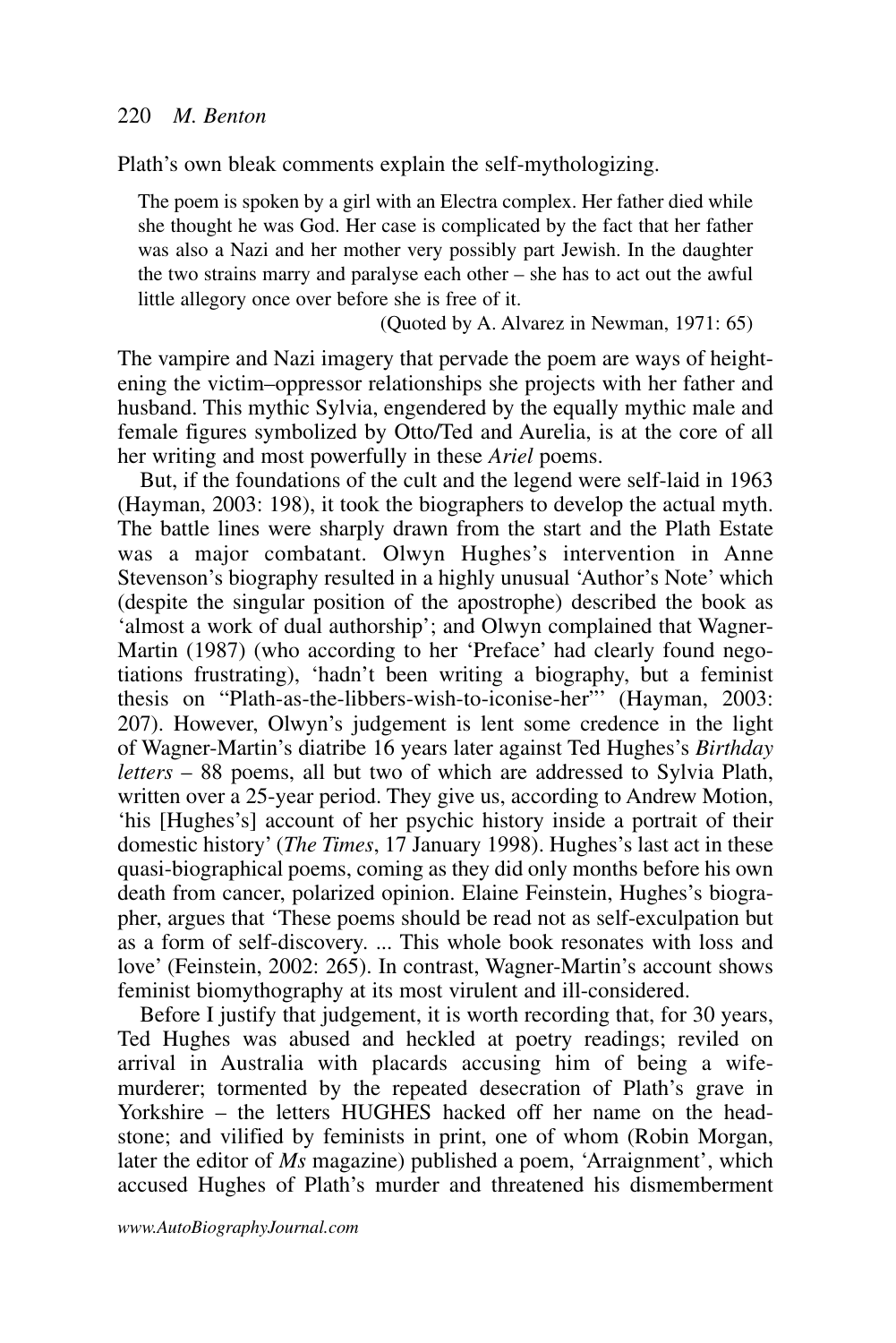Plath's own bleak comments explain the self-mythologizing.

The poem is spoken by a girl with an Electra complex. Her father died while she thought he was God. Her case is complicated by the fact that her father was also a Nazi and her mother very possibly part Jewish. In the daughter the two strains marry and paralyse each other  $-$  she has to act out the awful little allegory once over before she is free of it.

(Quoted by A. Alvarez in Newman, 1971: 65)

The vampire and Nazi imagery that pervade the poem are ways of heightening the victim-oppressor relationships she projects with her father and husband. This mythic Sylvia, engendered by the equally mythic male and female figures symbolized by Otto/Ted and Aurelia, is at the core of all her writing and most powerfully in these *Ariel* poems.

But, if the foundations of the cult and the legend were self-laid in 1963 (Hayman, 2003: 198), it took the biographers to develop the actual myth. The battle lines were sharply drawn from the start and the Plath Estate was a major combatant. Olwyn Hughes's intervention in Anne Stevenson's biography resulted in a highly unusual 'Author's Note' which (despite the singular position of the apostrophe) described the book as 'almost a work of dual authorship'; and Olwyn complained that Wagner-Martin (1987) (who according to her 'Preface' had clearly found negotiations frustrating), 'hadn't been writing a biography, but a feminist thesis on "Plath-as-the-libbers-wish-to-iconise-her" (Hayman, 2003: 207). However, Olwyn's judgement is lent some credence in the light of Wagner-Martin's diatribe 16 years later against Ted Hughes's Birthday letters - 88 poems, all but two of which are addressed to Sylvia Plath. written over a 25-year period. They give us, according to Andrew Motion, 'his [Hughes's] account of her psychic history inside a portrait of their domestic history' (*The Times*, 17 January 1998). Hughes's last act in these quasi-biographical poems, coming as they did only months before his own death from cancer, polarized opinion. Elaine Feinstein, Hughes's biographer, argues that 'These poems should be read not as self-exculpation but as a form of self-discovery. ... This whole book resonates with loss and love' (Feinstein, 2002: 265). In contrast, Wagner-Martin's account shows feminist biomythography at its most virulent and ill-considered.

Before I justify that judgement, it is worth recording that, for 30 years, Ted Hughes was abused and heckled at poetry readings; reviled on arrival in Australia with placards accusing him of being a wifemurderer; tormented by the repeated desecration of Plath's grave in Yorkshire – the letters HUGHES hacked off her name on the headstone; and vilified by feminists in print, one of whom (Robin Morgan, later the editor of  $\overline{Ms}$  magazine) published a poem, 'Arraignment', which accused Hughes of Plath's murder and threatened his dismemberment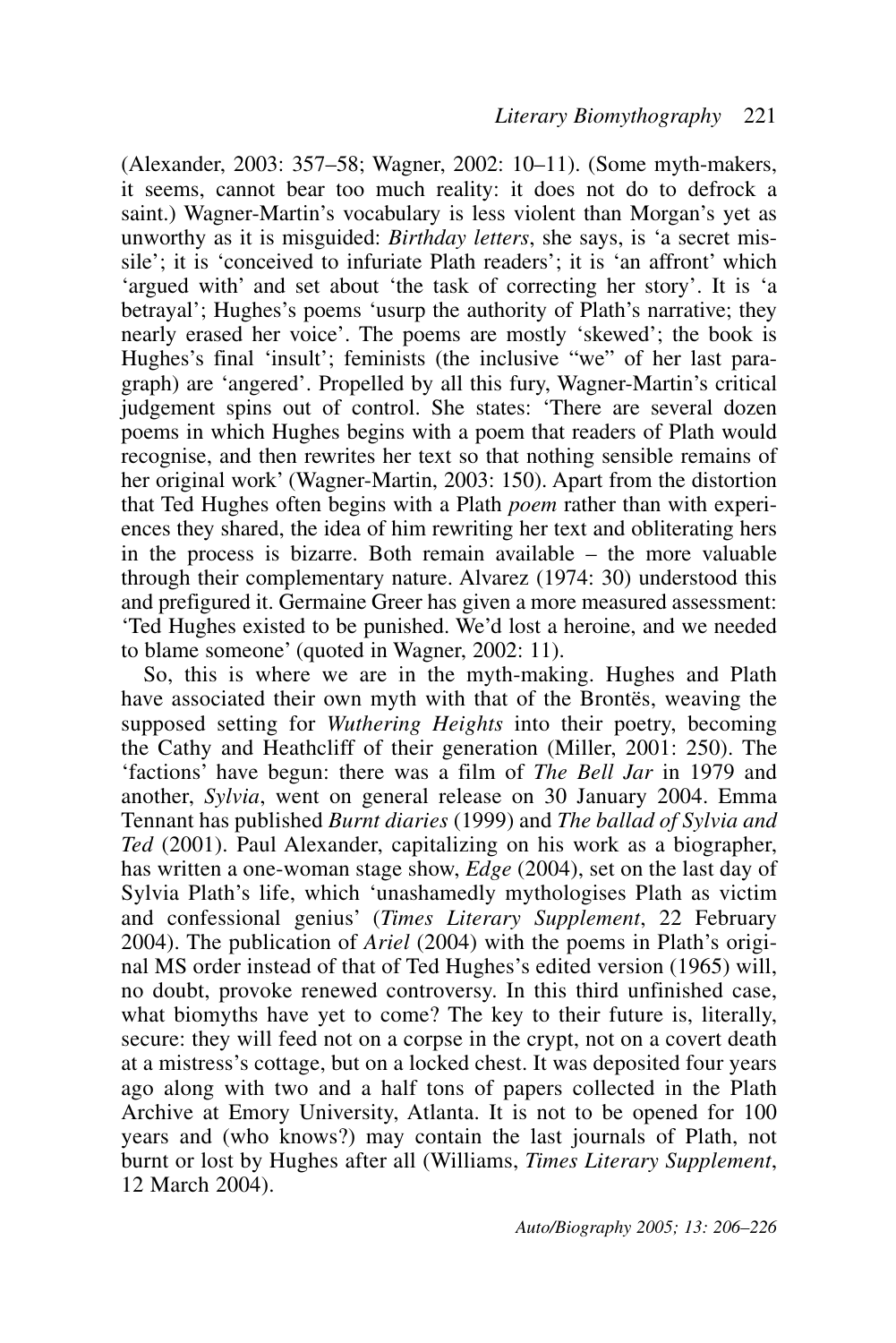(Alexander, 2003: 357–58; Wagner, 2002: 10–11). (Some myth-makers, it seems, cannot bear too much reality: it does not do to defrock a saint.) Wagner-Martin's vocabulary is less violent than Morgan's vet as unworthy as it is misguided: *Birthday letters*, she says, is 'a secret missile'; it is 'conceived to infuriate Plath readers'; it is 'an affront' which 'argued with' and set about 'the task of correcting her story'. It is 'a betrayal'; Hughes's poems 'usurp the authority of Plath's narrative; they nearly erased her voice'. The poems are mostly 'skewed'; the book is Hughes's final 'insult'; feminists (the inclusive "we" of her last paragraph) are 'angered'. Propelled by all this fury, Wagner-Martin's critical judgement spins out of control. She states: 'There are several dozen poems in which Hughes begins with a poem that readers of Plath would recognise, and then rewrites her text so that nothing sensible remains of her original work' (Wagner-Martin, 2003: 150). Apart from the distortion that Ted Hughes often begins with a Plath *poem* rather than with experiences they shared, the idea of him rewriting her text and obliterating hers in the process is bizarre. Both remain available – the more valuable through their complementary nature. Alvarez (1974: 30) understood this and prefigured it. Germaine Greer has given a more measured assessment: 'Ted Hughes existed to be punished. We'd lost a heroine, and we needed to blame someone' (quoted in Wagner, 2002: 11).

So, this is where we are in the myth-making. Hughes and Plath have associated their own myth with that of the Brontës, weaving the supposed setting for *Wuthering Heights* into their poetry, becoming the Cathy and Heathcliff of their generation (Miller, 2001: 250). The 'factions' have begun: there was a film of *The Bell Jar* in 1979 and another, *Sylvia*, went on general release on 30 January 2004. Emma Tennant has published Burnt diaries (1999) and The ballad of Sylvia and Ted (2001). Paul Alexander, capitalizing on his work as a biographer, has written a one-woman stage show, *Edge* (2004), set on the last day of Sylvia Plath's life, which 'unashamedly mythologises Plath as victim and confessional genius' (Times Literary Supplement, 22 February 2004). The publication of  $\overrightarrow{A}$ riel (2004) with the poems in Plath's original MS order instead of that of Ted Hughes's edited version (1965) will, no doubt, provoke renewed controversy. In this third unfinished case, what biomyths have yet to come? The key to their future is, literally, secure: they will feed not on a corpse in the crypt, not on a covert death at a mistress's cottage, but on a locked chest. It was deposited four years ago along with two and a half tons of papers collected in the Plath Archive at Emory University, Atlanta. It is not to be opened for 100 years and (who knows?) may contain the last journals of Plath, not burnt or lost by Hughes after all (Williams, Times Literary Supplement, 12 March 2004).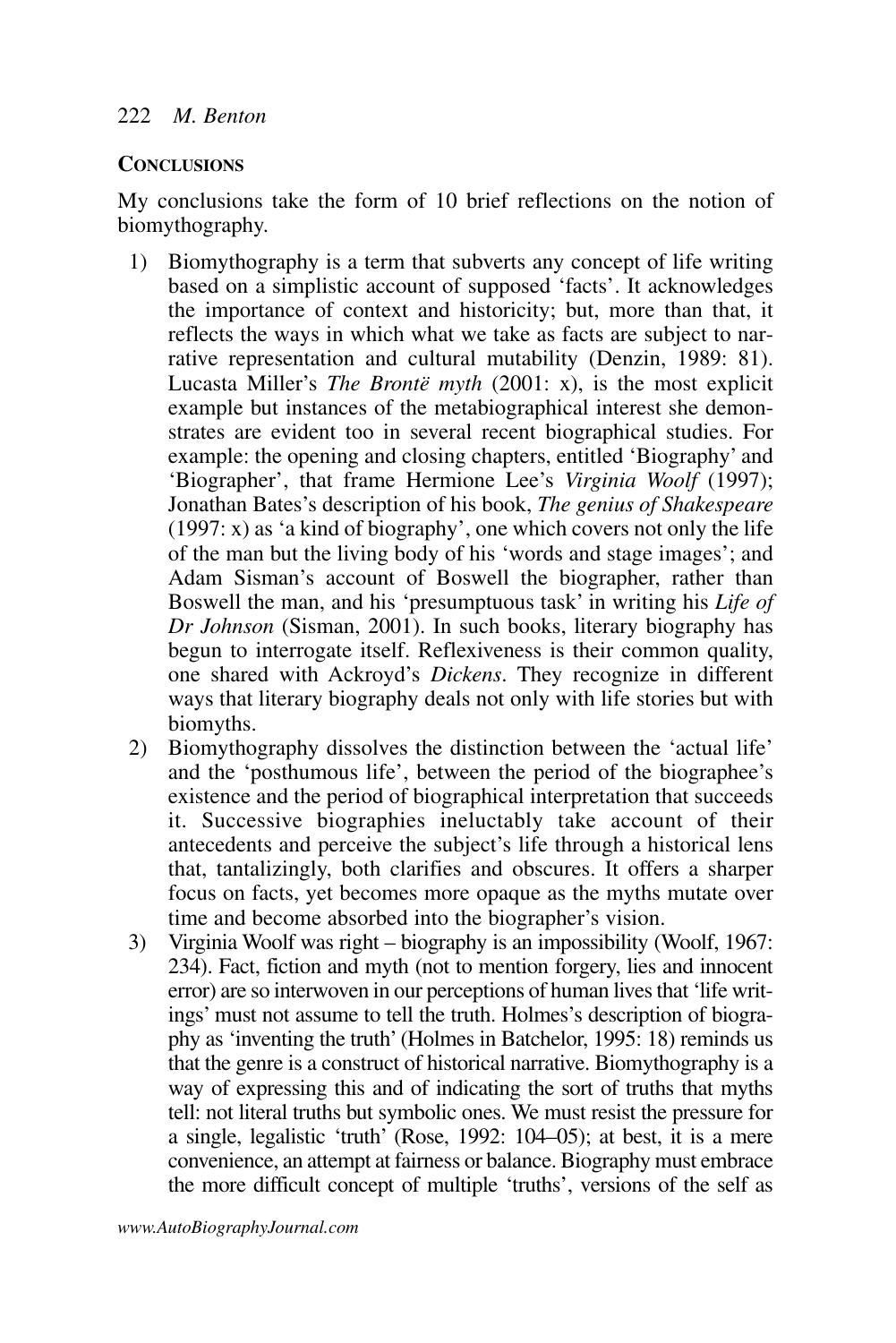#### **CONCLUSIONS**

My conclusions take the form of 10 brief reflections on the notion of biomythography.

- Biomythography is a term that subverts any concept of life writing  $1)$ based on a simplistic account of supposed 'facts'. It acknowledges the importance of context and historicity; but, more than that, it reflects the ways in which what we take as facts are subject to narrative representation and cultural mutability (Denzin, 1989: 81). Lucasta Miller's The Brontë myth (2001: x), is the most explicit example but instances of the metabiographical interest she demonstrates are evident too in several recent biographical studies. For example: the opening and closing chapters, entitled 'Biography' and 'Biographer', that frame Hermione Lee's Virginia Woolf (1997): Jonathan Bates's description of his book, The genius of Shakespeare  $(1997; x)$  as 'a kind of biography', one which covers not only the life of the man but the living body of his 'words and stage images'; and Adam Sisman's account of Boswell the biographer, rather than Boswell the man, and his 'presumptuous task' in writing his Life of Dr Johnson (Sisman, 2001). In such books, literary biography has begun to interrogate itself. Reflexiveness is their common quality, one shared with Ackroyd's *Dickens*. They recognize in different ways that literary biography deals not only with life stories but with biomyths.
- Biomythography dissolves the distinction between the 'actual life'  $(2)$ and the 'posthumous life', between the period of the biographee's existence and the period of biographical interpretation that succeeds it. Successive biographies ineluctably take account of their antecedents and perceive the subject's life through a historical lens that, tantalizingly, both clarifies and obscures. It offers a sharper focus on facts, yet becomes more opaque as the myths mutate over time and become absorbed into the biographer's vision.
- Virginia Woolf was right biography is an impossibility (Woolf, 1967:  $3)$ 234). Fact, fiction and myth (not to mention forgery, lies and innocent error) are so interwoven in our perceptions of human lives that 'life writings' must not assume to tell the truth. Holmes's description of biography as 'inventing the truth' (Holmes in Batchelor, 1995: 18) reminds us that the genre is a construct of historical narrative. Biomythography is a way of expressing this and of indicating the sort of truths that myths tell: not literal truths but symbolic ones. We must resist the pressure for a single, legalistic 'truth' (Rose, 1992: 104–05); at best, it is a mere convenience, an attempt at fairness or balance. Biography must embrace the more difficult concept of multiple 'truths', versions of the self as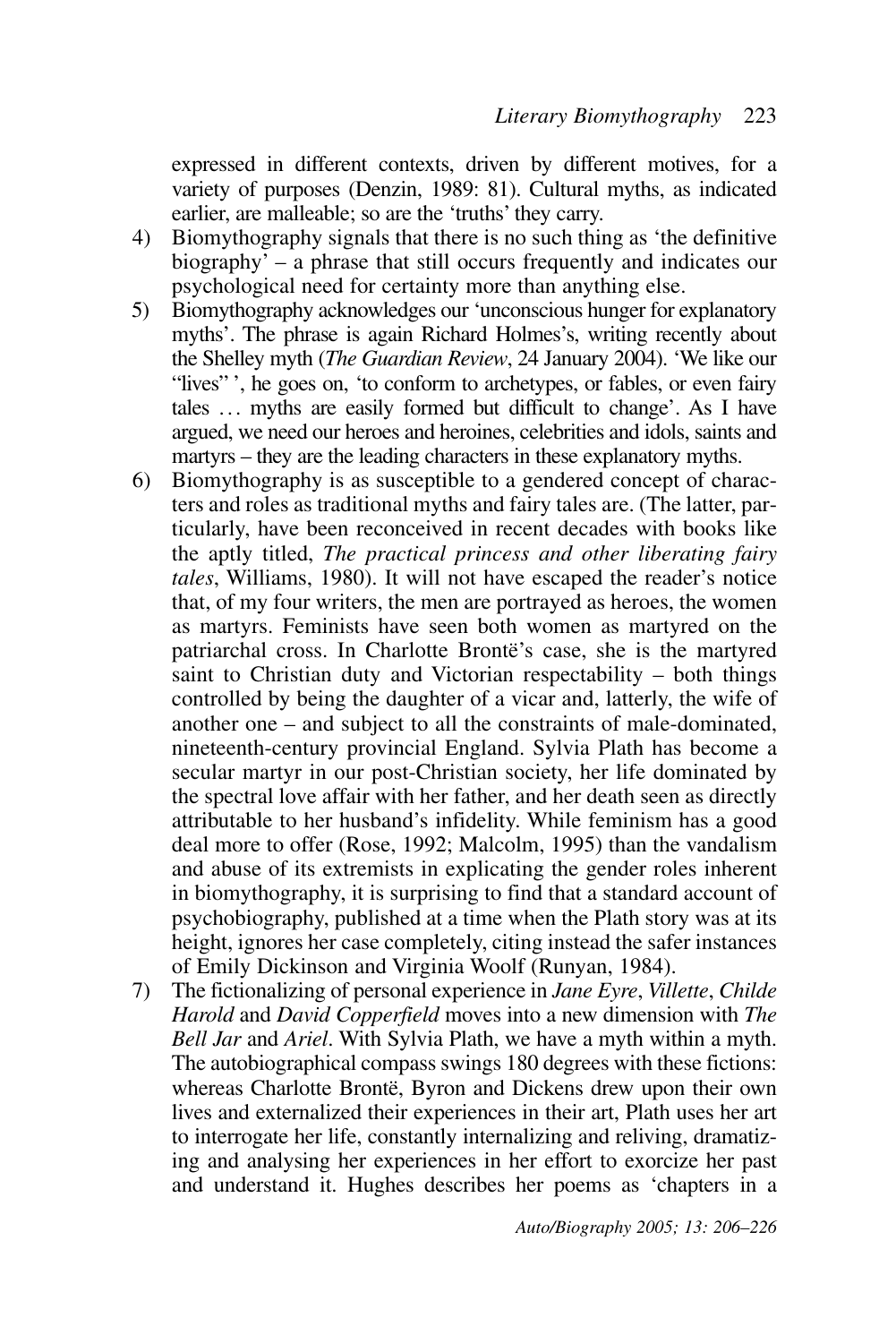expressed in different contexts, driven by different motives, for a variety of purposes (Denzin, 1989: 81). Cultural myths, as indicated earlier, are malleable; so are the 'truths' they carry.

- Biomythography signals that there is no such thing as 'the definitive 4) biography $\dot{ }$  – a phrase that still occurs frequently and indicates our psychological need for certainty more than anything else.
- Biomythography acknowledges our 'unconscious hunger for explanatory  $5)$ myths'. The phrase is again Richard Holmes's, writing recently about the Shelley myth (The Guardian Review, 24 January 2004). 'We like our "lives", he goes on, 'to conform to archetypes, or fables, or even fairy tales ... myths are easily formed but difficult to change'. As I have argued, we need our heroes and heroines, celebrities and idols, saints and martyrs – they are the leading characters in these explanatory myths.
- Biomythography is as susceptible to a gendered concept of charac- $6)$ ters and roles as traditional myths and fairy tales are. (The latter, particularly, have been reconceived in recent decades with books like the aptly titled, The practical princess and other liberating fairy tales, Williams, 1980). It will not have escaped the reader's notice that, of my four writers, the men are portrayed as heroes, the women as martyrs. Feminists have seen both women as martyred on the patriarchal cross. In Charlotte Brontë's case, she is the martyred saint to Christian duty and Victorian respectability  $-$  both things controlled by being the daughter of a vicar and, latterly, the wife of another one – and subject to all the constraints of male-dominated, nineteenth-century provincial England. Sylvia Plath has become a secular martyr in our post-Christian society, her life dominated by the spectral love affair with her father, and her death seen as directly attributable to her husband's infidelity. While feminism has a good deal more to offer (Rose, 1992; Malcolm, 1995) than the vandalism and abuse of its extremists in explicating the gender roles inherent in biomythography, it is surprising to find that a standard account of psychobiography, published at a time when the Plath story was at its height, ignores her case completely, citing instead the safer instances of Emily Dickinson and Virginia Woolf (Runyan, 1984).
- The fictionalizing of personal experience in Jane Eyre, Villette, Childe 7) Harold and David Copperfield moves into a new dimension with The Bell Jar and Ariel. With Sylvia Plath, we have a myth within a myth. The autobiographical compass swings 180 degrees with these fictions: whereas Charlotte Brontë, Byron and Dickens drew upon their own lives and externalized their experiences in their art, Plath uses her art to interrogate her life, constantly internalizing and reliving, dramatizing and analysing her experiences in her effort to exorcize her past and understand it. Hughes describes her poems as 'chapters in a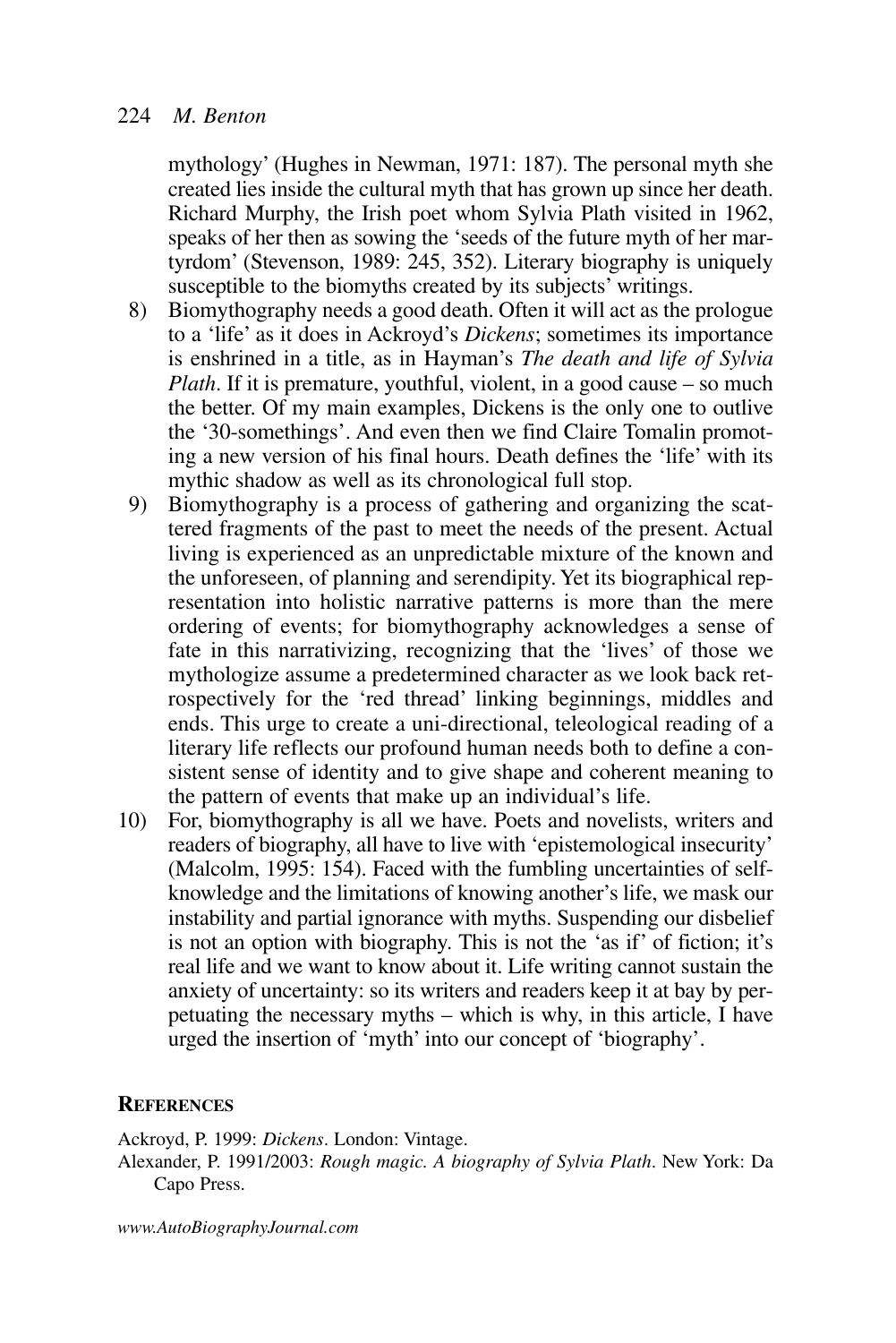mythology' (Hughes in Newman, 1971: 187). The personal myth she created lies inside the cultural myth that has grown up since her death. Richard Murphy, the Irish poet whom Sylvia Plath visited in 1962, speaks of her then as sowing the 'seeds of the future myth of her martyrdom' (Stevenson, 1989: 245, 352). Literary biography is uniquely susceptible to the biomyths created by its subjects' writings.

- Biomythography needs a good death. Often it will act as the prologue 8) to a 'life' as it does in Ackroyd's *Dickens*; sometimes its importance is enshrined in a title, as in Hayman's *The death and life of Sylvia Plath.* If it is premature, youthful, violent, in a good cause – so much the better. Of my main examples, Dickens is the only one to outlive the '30-somethings'. And even then we find Claire Tomalin promoting a new version of his final hours. Death defines the 'life' with its mythic shadow as well as its chronological full stop.
- Biomythography is a process of gathering and organizing the scat-9) tered fragments of the past to meet the needs of the present. Actual living is experienced as an unpredictable mixture of the known and the unforeseen, of planning and serendipity. Yet its biographical representation into holistic narrative patterns is more than the mere ordering of events; for biomythography acknowledges a sense of fate in this narrativizing, recognizing that the 'lives' of those we mythologize assume a predetermined character as we look back retrospectively for the 'red thread' linking beginnings, middles and ends. This urge to create a uni-directional, teleological reading of a literary life reflects our profound human needs both to define a consistent sense of identity and to give shape and coherent meaning to the pattern of events that make up an individual's life.
- For, biomythography is all we have. Poets and novelists, writers and  $10)$ readers of biography, all have to live with 'epistemological insecurity' (Malcolm, 1995; 154). Faced with the fumbling uncertainties of selfknowledge and the limitations of knowing another's life, we mask our instability and partial ignorance with myths. Suspending our disbelief is not an option with biography. This is not the 'as if' of fiction; it's real life and we want to know about it. Life writing cannot sustain the anxiety of uncertainty: so its writers and readers keep it at bay by perpetuating the necessary myths – which is why, in this article, I have urged the insertion of 'myth' into our concept of 'biography'.

## **REFERENCES**

Ackroyd, P. 1999: Dickens. London: Vintage. Alexander, P. 1991/2003: Rough magic. A biography of Sylvia Plath. New York: Da Capo Press.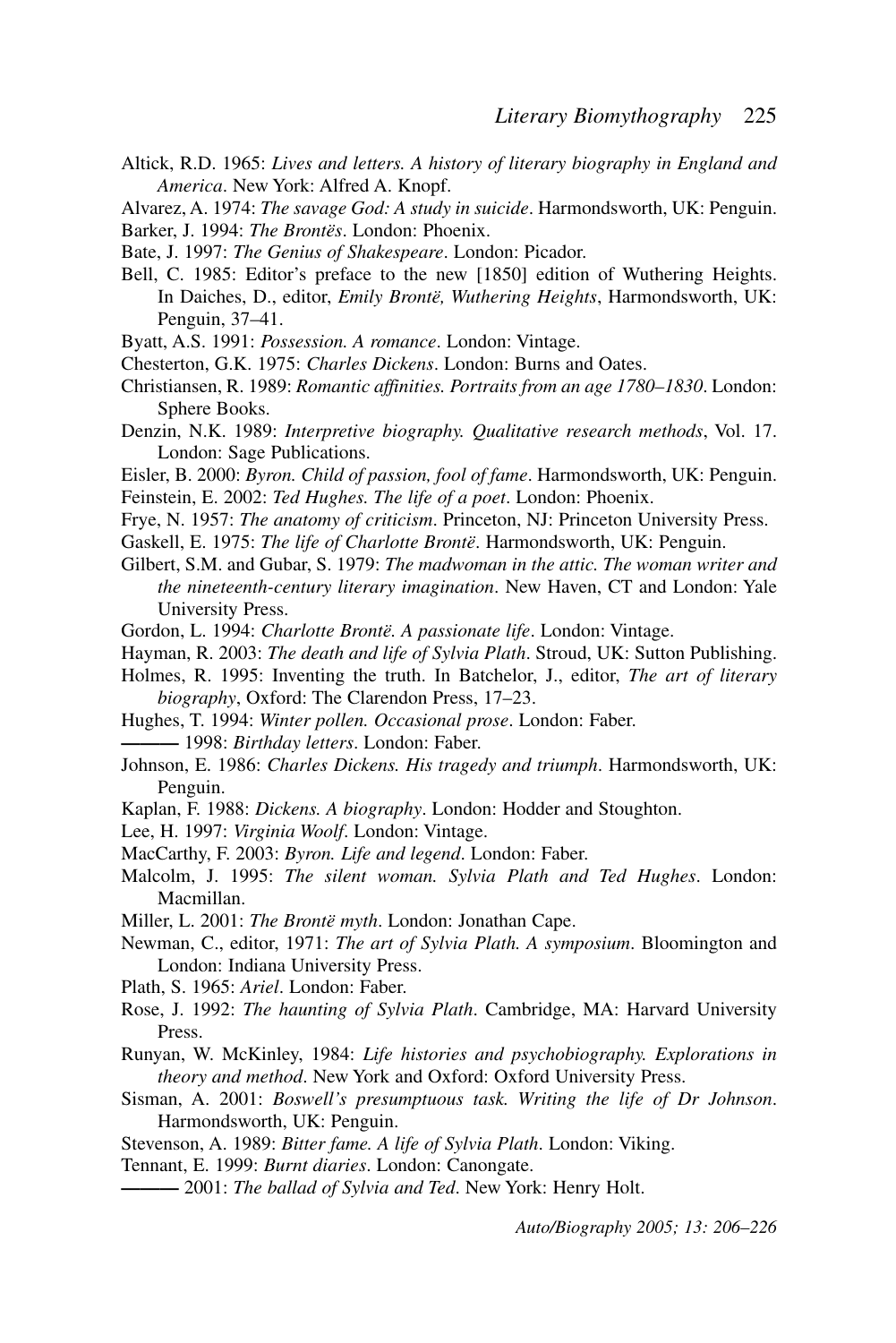- Altick, R.D. 1965: Lives and letters. A history of literary biography in England and America. New York: Alfred A. Knopf.
- Alvarez, A. 1974: The savage God: A study in suicide. Harmondsworth, UK: Penguin. Barker, J. 1994; The Brontës, London: Phoenix.
- Bate, J. 1997: The Genius of Shakespeare. London: Picador.
- Bell, C. 1985: Editor's preface to the new [1850] edition of Wuthering Heights. In Daiches, D., editor, Emily Brontë, Wuthering Heights, Harmondsworth. UK: Penguin, 37-41.
- Byatt, A.S. 1991: Possession. A romance. London: Vintage.
- Chesterton, G.K. 1975: Charles Dickens, London: Burns and Oates.
- Christiansen, R. 1989: Romantic affinities. Portraits from an age 1780-1830. London: Sphere Books.
- Denzin, N.K. 1989: Interpretive biography. Qualitative research methods, Vol. 17. London: Sage Publications.
- Eisler, B. 2000: Byron. Child of passion, fool of fame. Harmondsworth, UK: Penguin. Feinstein, E. 2002: Ted Hughes. The life of a poet. London: Phoenix.
- Frye, N. 1957: The anatomy of criticism. Princeton, NJ: Princeton University Press.
- Gaskell, E. 1975; The life of Charlotte Brontë, Harmondsworth, UK; Penguin,
- Gilbert, S.M. and Gubar, S. 1979: The madwoman in the attic. The woman writer and the nineteenth-century literary imagination. New Haven, CT and London: Yale University Press.
- Gordon, L. 1994: Charlotte Brontë. A passionate life. London: Vintage.
- Hayman, R. 2003: The death and life of Sylvia Plath. Stroud, UK: Sutton Publishing.
- Holmes, R. 1995: Inventing the truth. In Batchelor, J., editor, *The art of literary* biography, Oxford: The Clarendon Press, 17–23.
- Hughes, T. 1994: Winter pollen. Occasional prose. London: Faber.
- -1998: Birthday letters. London: Faber.
- Johnson, E. 1986: Charles Dickens. His tragedy and triumph. Harmondsworth, UK: Penguin.
- Kaplan, F. 1988: Dickens. A biography. London: Hodder and Stoughton.
- Lee, H. 1997: Virginia Woolf. London: Vintage.
- MacCarthy, F. 2003: Byron. Life and legend. London: Faber.
- Malcolm, J. 1995: The silent woman. Sylvia Plath and Ted Hughes. London: Macmillan.
- Miller, L. 2001: The Brontë myth. London: Jonathan Cape.
- Newman, C., editor, 1971: The art of Sylvia Plath. A symposium. Bloomington and London: Indiana University Press.
- Plath, S. 1965: Ariel. London: Faber.
- Rose, J. 1992: The haunting of Sylvia Plath. Cambridge, MA: Harvard University Press.
- Runyan, W. McKinley, 1984: Life histories and psychobiography. Explorations in theory and method. New York and Oxford: Oxford University Press.
- Sisman, A. 2001: *Boswell's presumptuous task. Writing the life of Dr Johnson.* Harmondsworth, UK: Penguin.
- Stevenson, A. 1989: Bitter fame. A life of Sylvia Plath. London: Viking.
- Tennant, E. 1999: Burnt diaries. London: Canongate.
	- -2001: The ballad of Sylvia and Ted. New York: Henry Holt.